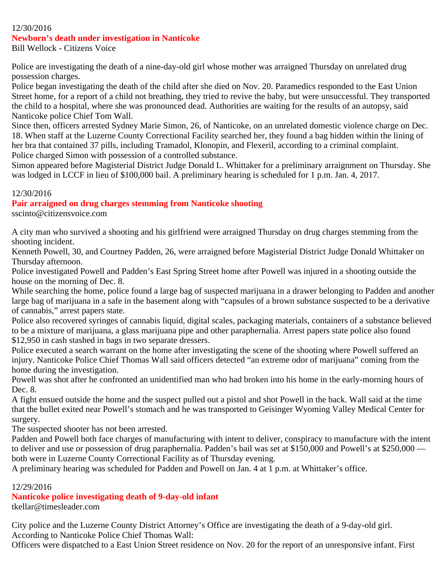#### 12/30/2016

#### **Newborn's death under investigation in Nanticoke**

Bill Wellock - Citizens Voice

Police are investigating the death of a nine-day-old girl whose mother was arraigned Thursday on unrelated drug possession charges.

Police began investigating the death of the child after she died on Nov. 20. Paramedics responded to the East Union Street home, for a report of a child not breathing, they tried to revive the baby, but were unsuccessful. They transported the child to a hospital, where she was pronounced dead. Authorities are waiting for the results of an autopsy, said Nanticoke police Chief Tom Wall.

Since then, officers arrested Sydney Marie Simon, 26, of Nanticoke, on an unrelated domestic violence charge on Dec. 18. When staff at the Luzerne County Correctional Facility searched her, they found a bag hidden within the lining of her bra that contained 37 pills, including Tramadol, Klonopin, and Flexeril, according to a criminal complaint. Police charged Simon with possession of a controlled substance.

Simon appeared before Magisterial District Judge Donald L. Whittaker for a preliminary arraignment on Thursday. She was lodged in LCCF in lieu of \$100,000 bail. A preliminary hearing is scheduled for 1 p.m. Jan. 4, 2017.

#### 12/30/2016

#### **Pair arraigned on drug charges stemming from Nanticoke shooting**

sscinto@citizensvoice.com

A city man who survived a shooting and his girlfriend were arraigned Thursday on drug charges stemming from the shooting incident.

Kenneth Powell, 30, and Courtney Padden, 26, were arraigned before Magisterial District Judge Donald Whittaker on Thursday afternoon.

Police investigated Powell and Padden's East Spring Street home after Powell was injured in a shooting outside the house on the morning of Dec. 8.

While searching the home, police found a large bag of suspected marijuana in a drawer belonging to Padden and another large bag of marijuana in a safe in the basement along with "capsules of a brown substance suspected to be a derivative of cannabis," arrest papers state.

Police also recovered syringes of cannabis liquid, digital scales, packaging materials, containers of a substance believed to be a mixture of marijuana, a glass marijuana pipe and other paraphernalia. Arrest papers state police also found \$12,950 in cash stashed in bags in two separate dressers.

Police executed a search warrant on the home after investigating the scene of the shooting where Powell suffered an injury. Nanticoke Police Chief Thomas Wall said officers detected "an extreme odor of marijuana" coming from the home during the investigation.

Powell was shot after he confronted an unidentified man who had broken into his home in the early-morning hours of Dec. 8.

A fight ensued outside the home and the suspect pulled out a pistol and shot Powell in the back. Wall said at the time that the bullet exited near Powell's stomach and he was transported to Geisinger Wyoming Valley Medical Center for surgery.

The suspected shooter has not been arrested.

Padden and Powell both face charges of manufacturing with intent to deliver, conspiracy to manufacture with the intent to deliver and use or possession of drug paraphernalia. Padden's bail was set at \$150,000 and Powell's at \$250,000 both were in Luzerne County Correctional Facility as of Thursday evening.

A preliminary hearing was scheduled for Padden and Powell on Jan. 4 at 1 p.m. at Whittaker's office.

### 12/29/2016

#### **Nanticoke police investigating death of 9-day-old infant**

tkellar@timesleader.com

City police and the Luzerne County District Attorney's Office are investigating the death of a 9-day-old girl. According to Nanticoke Police Chief Thomas Wall:

Officers were dispatched to a East Union Street residence on Nov. 20 for the report of an unresponsive infant. First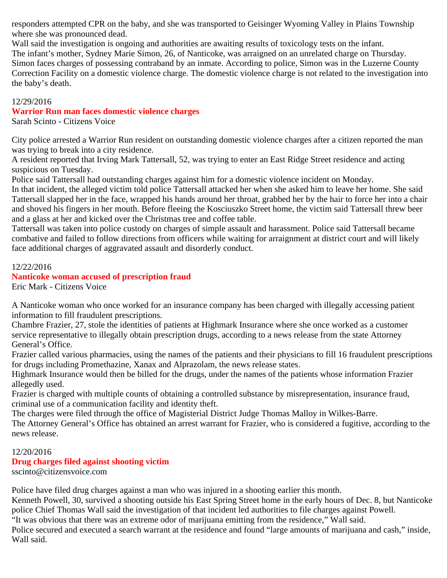responders attempted CPR on the baby, and she was transported to Geisinger Wyoming Valley in Plains Township where she was pronounced dead.

Wall said the investigation is ongoing and authorities are awaiting results of toxicology tests on the infant. The infant's mother, Sydney Marie Simon, 26, of Nanticoke, was arraigned on an unrelated charge on Thursday. Simon faces charges of possessing contraband by an inmate. According to police, Simon was in the Luzerne County Correction Facility on a domestic violence charge. The domestic violence charge is not related to the investigation into the baby's death.

#### 12/29/2016

#### **Warrior Run man faces domestic violence charges**

Sarah Scinto - Citizens Voice

City police arrested a Warrior Run resident on outstanding domestic violence charges after a citizen reported the man was trying to break into a city residence.

A resident reported that Irving Mark Tattersall, 52, was trying to enter an East Ridge Street residence and acting suspicious on Tuesday.

Police said Tattersall had outstanding charges against him for a domestic violence incident on Monday.

In that incident, the alleged victim told police Tattersall attacked her when she asked him to leave her home. She said Tattersall slapped her in the face, wrapped his hands around her throat, grabbed her by the hair to force her into a chair and shoved his fingers in her mouth. Before fleeing the Kosciuszko Street home, the victim said Tattersall threw beer and a glass at her and kicked over the Christmas tree and coffee table.

Tattersall was taken into police custody on charges of simple assault and harassment. Police said Tattersall became combative and failed to follow directions from officers while waiting for arraignment at district court and will likely face additional charges of aggravated assault and disorderly conduct.

#### 12/22/2016

## **Nanticoke woman accused of prescription fraud**

Eric Mark - Citizens Voice

A Nanticoke woman who once worked for an insurance company has been charged with illegally accessing patient information to fill fraudulent prescriptions.

Chambre Frazier, 27, stole the identities of patients at Highmark Insurance where she once worked as a customer service representative to illegally obtain prescription drugs, according to a news release from the state Attorney General's Office.

Frazier called various pharmacies, using the names of the patients and their physicians to fill 16 fraudulent prescriptions for drugs including Promethazine, Xanax and Alprazolam, the news release states.

Highmark Insurance would then be billed for the drugs, under the names of the patients whose information Frazier allegedly used.

Frazier is charged with multiple counts of obtaining a controlled substance by misrepresentation, insurance fraud, criminal use of a communication facility and identity theft.

The charges were filed through the office of Magisterial District Judge Thomas Malloy in Wilkes-Barre.

The Attorney General's Office has obtained an arrest warrant for Frazier, who is considered a fugitive, according to the news release.

### 12/20/2016

### **Drug charges filed against shooting victim**

sscinto@citizensvoice.com

Police have filed drug charges against a man who was injured in a shooting earlier this month.

Kenneth Powell, 30, survived a shooting outside his East Spring Street home in the early hours of Dec. 8, but Nanticoke police Chief Thomas Wall said the investigation of that incident led authorities to file charges against Powell.

"It was obvious that there was an extreme odor of marijuana emitting from the residence," Wall said.

Police secured and executed a search warrant at the residence and found "large amounts of marijuana and cash," inside, Wall said.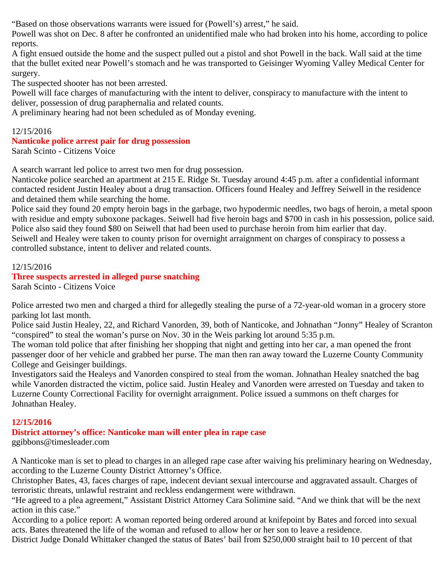"Based on those observations warrants were issued for (Powell's) arrest," he said.

Powell was shot on Dec. 8 after he confronted an unidentified male who had broken into his home, according to police reports.

A fight ensued outside the home and the suspect pulled out a pistol and shot Powell in the back. Wall said at the time that the bullet exited near Powell's stomach and he was transported to Geisinger Wyoming Valley Medical Center for surgery.

The suspected shooter has not been arrested.

Powell will face charges of manufacturing with the intent to deliver, conspiracy to manufacture with the intent to deliver, possession of drug paraphernalia and related counts.

A preliminary hearing had not been scheduled as of Monday evening.

# 12/15/2016

#### **Nanticoke police arrest pair for drug possession** Sarah Scinto - Citizens Voice

A search warrant led police to arrest two men for drug possession.

Nanticoke police searched an apartment at 215 E. Ridge St. Tuesday around 4:45 p.m. after a confidential informant contacted resident Justin Healey about a drug transaction. Officers found Healey and Jeffrey Seiwell in the residence and detained them while searching the home.

Police said they found 20 empty heroin bags in the garbage, two hypodermic needles, two bags of heroin, a metal spoon with residue and empty suboxone packages. Seiwell had five heroin bags and \$700 in cash in his possession, police said. Police also said they found \$80 on Seiwell that had been used to purchase heroin from him earlier that day. Seiwell and Healey were taken to county prison for overnight arraignment on charges of conspiracy to possess a controlled substance, intent to deliver and related counts.

12/15/2016

#### **Three suspects arrested in alleged purse snatching** Sarah Scinto - Citizens Voice

Police arrested two men and charged a third for allegedly stealing the purse of a 72-year-old woman in a grocery store parking lot last month.

Police said Justin Healey, 22, and Richard Vanorden, 39, both of Nanticoke, and Johnathan "Jonny" Healey of Scranton "conspired" to steal the woman's purse on Nov. 30 in the Weis parking lot around 5:35 p.m.

The woman told police that after finishing her shopping that night and getting into her car, a man opened the front passenger door of her vehicle and grabbed her purse. The man then ran away toward the Luzerne County Community College and Geisinger buildings.

Investigators said the Healeys and Vanorden conspired to steal from the woman. Johnathan Healey snatched the bag while Vanorden distracted the victim, police said. Justin Healey and Vanorden were arrested on Tuesday and taken to Luzerne County Correctional Facility for overnight arraignment. Police issued a summons on theft charges for Johnathan Healey.

# **12/15/2016**

# **District attorney's office: Nanticoke man will enter plea in rape case**

ggibbons@timesleader.com

A Nanticoke man is set to plead to charges in an alleged rape case after waiving his preliminary hearing on Wednesday, according to the Luzerne County District Attorney's Office.

Christopher Bates, 43, faces charges of rape, indecent deviant sexual intercourse and aggravated assault. Charges of terroristic threats, unlawful restraint and reckless endangerment were withdrawn.

"He agreed to a plea agreement," Assistant District Attorney Cara Solimine said. "And we think that will be the next action in this case."

According to a police report: A woman reported being ordered around at knifepoint by Bates and forced into sexual acts. Bates threatened the life of the woman and refused to allow her or her son to leave a residence.

District Judge Donald Whittaker changed the status of Bates' bail from \$250,000 straight bail to 10 percent of that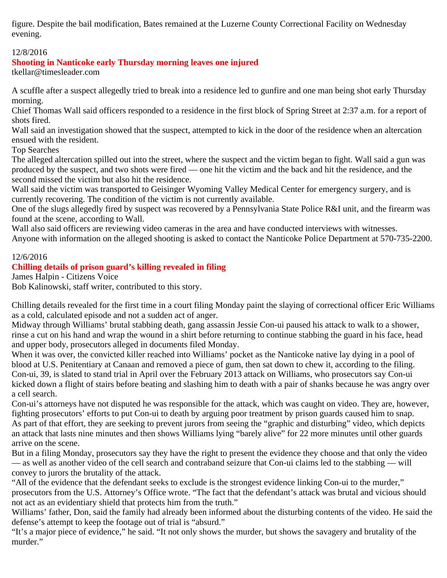figure. Despite the bail modification, Bates remained at the Luzerne County Correctional Facility on Wednesday evening.

## 12/8/2016

# **Shooting in Nanticoke early Thursday morning leaves one injured**

tkellar@timesleader.com

A scuffle after a suspect allegedly tried to break into a residence led to gunfire and one man being shot early Thursday morning.

Chief Thomas Wall said officers responded to a residence in the first block of Spring Street at 2:37 a.m. for a report of shots fired.

Wall said an investigation showed that the suspect, attempted to kick in the door of the residence when an altercation ensued with the resident.

Top Searches

The alleged altercation spilled out into the street, where the suspect and the victim began to fight. Wall said a gun was produced by the suspect, and two shots were fired — one hit the victim and the back and hit the residence, and the second missed the victim but also hit the residence.

Wall said the victim was transported to Geisinger Wyoming Valley Medical Center for emergency surgery, and is currently recovering. The condition of the victim is not currently available.

One of the slugs allegedly fired by suspect was recovered by a Pennsylvania State Police R&I unit, and the firearm was found at the scene, according to Wall.

Wall also said officers are reviewing video cameras in the area and have conducted interviews with witnesses. Anyone with information on the alleged shooting is asked to contact the Nanticoke Police Department at 570-735-2200.

#### 12/6/2016

# **Chilling details of prison guard's killing revealed in filing**

James Halpin - Citizens Voice

Bob Kalinowski, staff writer, contributed to this story.

Chilling details revealed for the first time in a court filing Monday paint the slaying of correctional officer Eric Williams as a cold, calculated episode and not a sudden act of anger.

Midway through Williams' brutal stabbing death, gang assassin Jessie Con-ui paused his attack to walk to a shower, rinse a cut on his hand and wrap the wound in a shirt before returning to continue stabbing the guard in his face, head and upper body, prosecutors alleged in documents filed Monday.

When it was over, the convicted killer reached into Williams' pocket as the Nanticoke native lay dying in a pool of blood at U.S. Penitentiary at Canaan and removed a piece of gum, then sat down to chew it, according to the filing. Con-ui, 39, is slated to stand trial in April over the February 2013 attack on Williams, who prosecutors say Con-ui kicked down a flight of stairs before beating and slashing him to death with a pair of shanks because he was angry over a cell search.

Con-ui's attorneys have not disputed he was responsible for the attack, which was caught on video. They are, however, fighting prosecutors' efforts to put Con-ui to death by arguing poor treatment by prison guards caused him to snap. As part of that effort, they are seeking to prevent jurors from seeing the "graphic and disturbing" video, which depicts an attack that lasts nine minutes and then shows Williams lying "barely alive" for 22 more minutes until other guards arrive on the scene.

But in a filing Monday, prosecutors say they have the right to present the evidence they choose and that only the video — as well as another video of the cell search and contraband seizure that Con-ui claims led to the stabbing — will convey to jurors the brutality of the attack.

"All of the evidence that the defendant seeks to exclude is the strongest evidence linking Con-ui to the murder," prosecutors from the U.S. Attorney's Office wrote. "The fact that the defendant's attack was brutal and vicious should not act as an evidentiary shield that protects him from the truth."

Williams' father, Don, said the family had already been informed about the disturbing contents of the video. He said the defense's attempt to keep the footage out of trial is "absurd."

"It's a major piece of evidence," he said. "It not only shows the murder, but shows the savagery and brutality of the murder."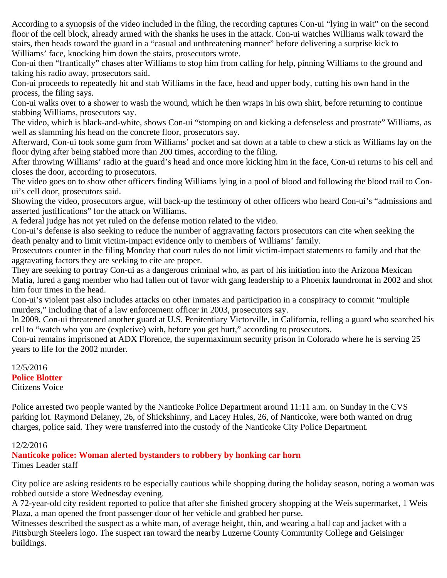According to a synopsis of the video included in the filing, the recording captures Con-ui "lying in wait" on the second floor of the cell block, already armed with the shanks he uses in the attack. Con-ui watches Williams walk toward the stairs, then heads toward the guard in a "casual and unthreatening manner" before delivering a surprise kick to Williams' face, knocking him down the stairs, prosecutors wrote.

Con-ui then "frantically" chases after Williams to stop him from calling for help, pinning Williams to the ground and taking his radio away, prosecutors said.

Con-ui proceeds to repeatedly hit and stab Williams in the face, head and upper body, cutting his own hand in the process, the filing says.

Con-ui walks over to a shower to wash the wound, which he then wraps in his own shirt, before returning to continue stabbing Williams, prosecutors say.

The video, which is black-and-white, shows Con-ui "stomping on and kicking a defenseless and prostrate" Williams, as well as slamming his head on the concrete floor, prosecutors say.

Afterward, Con-ui took some gum from Williams' pocket and sat down at a table to chew a stick as Williams lay on the floor dying after being stabbed more than 200 times, according to the filing.

After throwing Williams' radio at the guard's head and once more kicking him in the face, Con-ui returns to his cell and closes the door, according to prosecutors.

The video goes on to show other officers finding Williams lying in a pool of blood and following the blood trail to Conui's cell door, prosecutors said.

Showing the video, prosecutors argue, will back-up the testimony of other officers who heard Con-ui's "admissions and asserted justifications" for the attack on Williams.

A federal judge has not yet ruled on the defense motion related to the video.

Con-ui's defense is also seeking to reduce the number of aggravating factors prosecutors can cite when seeking the death penalty and to limit victim-impact evidence only to members of Williams' family.

Prosecutors counter in the filing Monday that court rules do not limit victim-impact statements to family and that the aggravating factors they are seeking to cite are proper.

They are seeking to portray Con-ui as a dangerous criminal who, as part of his initiation into the Arizona Mexican Mafia, lured a gang member who had fallen out of favor with gang leadership to a Phoenix laundromat in 2002 and shot him four times in the head.

Con-ui's violent past also includes attacks on other inmates and participation in a conspiracy to commit "multiple murders," including that of a law enforcement officer in 2003, prosecutors say.

In 2009, Con-ui threatened another guard at U.S. Penitentiary Victorville, in California, telling a guard who searched his cell to "watch who you are (expletive) with, before you get hurt," according to prosecutors.

Con-ui remains imprisoned at ADX Florence, the supermaximum security prison in Colorado where he is serving 25 years to life for the 2002 murder.

12/5/2016 **Police Blotter** Citizens Voice

Police arrested two people wanted by the Nanticoke Police Department around 11:11 a.m. on Sunday in the CVS parking lot. Raymond Delaney, 26, of Shickshinny, and Lacey Hules, 26, of Nanticoke, were both wanted on drug charges, police said. They were transferred into the custody of the Nanticoke City Police Department.

# 12/2/2016

**Nanticoke police: Woman alerted bystanders to robbery by honking car horn** Times Leader staff

City police are asking residents to be especially cautious while shopping during the holiday season, noting a woman was robbed outside a store Wednesday evening.

A 72-year-old city resident reported to police that after she finished grocery shopping at the Weis supermarket, 1 Weis Plaza, a man opened the front passenger door of her vehicle and grabbed her purse.

Witnesses described the suspect as a white man, of average height, thin, and wearing a ball cap and jacket with a Pittsburgh Steelers logo. The suspect ran toward the nearby Luzerne County Community College and Geisinger buildings.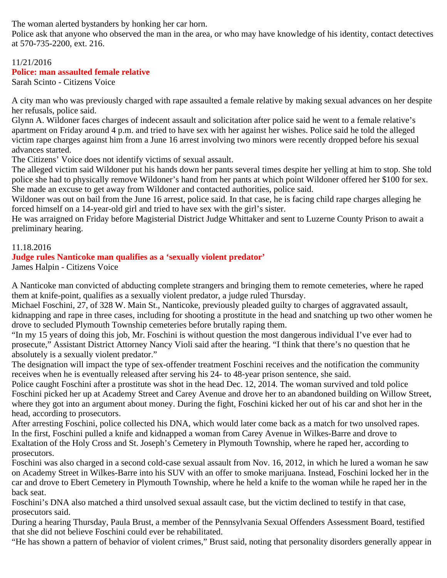The woman alerted bystanders by honking her car horn.

Police ask that anyone who observed the man in the area, or who may have knowledge of his identity, contact detectives at 570-735-2200, ext. 216.

# 11/21/2016

## **Police: man assaulted female relative**

Sarah Scinto - Citizens Voice

A city man who was previously charged with rape assaulted a female relative by making sexual advances on her despite her refusals, police said.

Glynn A. Wildoner faces charges of indecent assault and solicitation after police said he went to a female relative's apartment on Friday around 4 p.m. and tried to have sex with her against her wishes. Police said he told the alleged victim rape charges against him from a June 16 arrest involving two minors were recently dropped before his sexual advances started.

The Citizens' Voice does not identify victims of sexual assault.

The alleged victim said Wildoner put his hands down her pants several times despite her yelling at him to stop. She told police she had to physically remove Wildoner's hand from her pants at which point Wildoner offered her \$100 for sex. She made an excuse to get away from Wildoner and contacted authorities, police said.

Wildoner was out on bail from the June 16 arrest, police said. In that case, he is facing child rape charges alleging he forced himself on a 14-year-old girl and tried to have sex with the girl's sister.

He was arraigned on Friday before Magisterial District Judge Whittaker and sent to Luzerne County Prison to await a preliminary hearing.

#### 11.18.2016

### **Judge rules Nanticoke man qualifies as a 'sexually violent predator'**

James Halpin - Citizens Voice

A Nanticoke man convicted of abducting complete strangers and bringing them to remote cemeteries, where he raped them at knife-point, qualifies as a sexually violent predator, a judge ruled Thursday.

Michael Foschini, 27, of 328 W. Main St., Nanticoke, previously pleaded guilty to charges of aggravated assault, kidnapping and rape in three cases, including for shooting a prostitute in the head and snatching up two other women he drove to secluded Plymouth Township cemeteries before brutally raping them.

"In my 15 years of doing this job, Mr. Foschini is without question the most dangerous individual I've ever had to prosecute," Assistant District Attorney Nancy Violi said after the hearing. "I think that there's no question that he absolutely is a sexually violent predator."

The designation will impact the type of sex-offender treatment Foschini receives and the notification the community receives when he is eventually released after serving his 24- to 48-year prison sentence, she said.

Police caught Foschini after a prostitute was shot in the head Dec. 12, 2014. The woman survived and told police Foschini picked her up at Academy Street and Carey Avenue and drove her to an abandoned building on Willow Street, where they got into an argument about money. During the fight, Foschini kicked her out of his car and shot her in the head, according to prosecutors.

After arresting Foschini, police collected his DNA, which would later come back as a match for two unsolved rapes. In the first, Foschini pulled a knife and kidnapped a woman from Carey Avenue in Wilkes-Barre and drove to Exaltation of the Holy Cross and St. Joseph's Cemetery in Plymouth Township, where he raped her, according to prosecutors.

Foschini was also charged in a second cold-case sexual assault from Nov. 16, 2012, in which he lured a woman he saw on Academy Street in Wilkes-Barre into his SUV with an offer to smoke marijuana. Instead, Foschini locked her in the car and drove to Ebert Cemetery in Plymouth Township, where he held a knife to the woman while he raped her in the back seat.

Foschini's DNA also matched a third unsolved sexual assault case, but the victim declined to testify in that case, prosecutors said.

During a hearing Thursday, Paula Brust, a member of the Pennsylvania Sexual Offenders Assessment Board, testified that she did not believe Foschini could ever be rehabilitated.

"He has shown a pattern of behavior of violent crimes," Brust said, noting that personality disorders generally appear in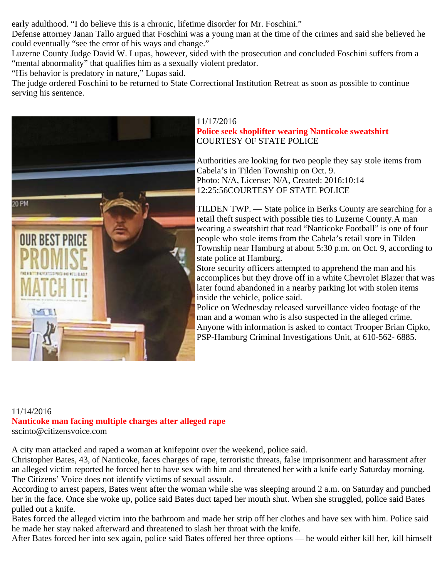early adulthood. "I do believe this is a chronic, lifetime disorder for Mr. Foschini."

Defense attorney Janan Tallo argued that Foschini was a young man at the time of the crimes and said she believed he could eventually "see the error of his ways and change."

Luzerne County Judge David W. Lupas, however, sided with the prosecution and concluded Foschini suffers from a "mental abnormality" that qualifies him as a sexually violent predator.

"His behavior is predatory in nature," Lupas said.

The judge ordered Foschini to be returned to State Correctional Institution Retreat as soon as possible to continue serving his sentence.



11/17/2016 **Police seek shoplifter wearing Nanticoke sweatshirt** COURTESY OF STATE POLICE

Authorities are looking for two people they say stole items from Cabela's in Tilden Township on Oct. 9. Photo: N/A, License: N/A, Created: 2016:10:14 12:25:56COURTESY OF STATE POLICE

TILDEN TWP. — State police in Berks County are searching for a retail theft suspect with possible ties to Luzerne County.A man wearing a sweatshirt that read "Nanticoke Football" is one of four people who stole items from the Cabela's retail store in Tilden Township near Hamburg at about 5:30 p.m. on Oct. 9, according to state police at Hamburg.

Store security officers attempted to apprehend the man and his accomplices but they drove off in a white Chevrolet Blazer that was later found abandoned in a nearby parking lot with stolen items inside the vehicle, police said.

Police on Wednesday released surveillance video footage of the man and a woman who is also suspected in the alleged crime. Anyone with information is asked to contact Trooper Brian Cipko, PSP-Hamburg Criminal Investigations Unit, at 610-562- 6885.

#### 11/14/2016 **Nanticoke man facing multiple charges after alleged rape** sscinto@citizensvoice.com

A city man attacked and raped a woman at knifepoint over the weekend, police said.

Christopher Bates, 43, of Nanticoke, faces charges of rape, terroristic threats, false imprisonment and harassment after an alleged victim reported he forced her to have sex with him and threatened her with a knife early Saturday morning. The Citizens' Voice does not identify victims of sexual assault.

According to arrest papers, Bates went after the woman while she was sleeping around 2 a.m. on Saturday and punched her in the face. Once she woke up, police said Bates duct taped her mouth shut. When she struggled, police said Bates pulled out a knife.

Bates forced the alleged victim into the bathroom and made her strip off her clothes and have sex with him. Police said he made her stay naked afterward and threatened to slash her throat with the knife.

After Bates forced her into sex again, police said Bates offered her three options — he would either kill her, kill himself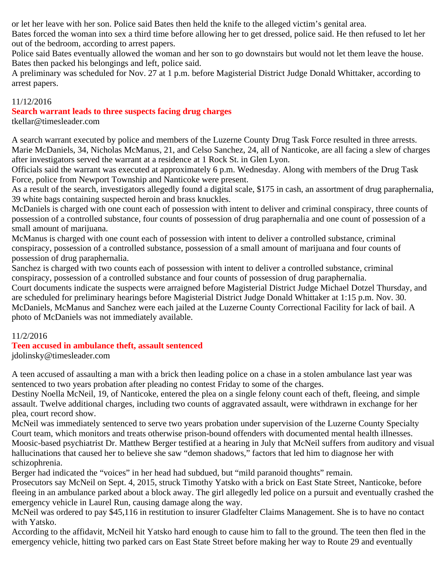or let her leave with her son. Police said Bates then held the knife to the alleged victim's genital area.

Bates forced the woman into sex a third time before allowing her to get dressed, police said. He then refused to let her out of the bedroom, according to arrest papers.

Police said Bates eventually allowed the woman and her son to go downstairs but would not let them leave the house. Bates then packed his belongings and left, police said.

A preliminary was scheduled for Nov. 27 at 1 p.m. before Magisterial District Judge Donald Whittaker, according to arrest papers.

### 11/12/2016

### **Search warrant leads to three suspects facing drug charges**

tkellar@timesleader.com

A search warrant executed by police and members of the Luzerne County Drug Task Force resulted in three arrests. Marie McDaniels, 34, Nicholas McManus, 21, and Celso Sanchez, 24, all of Nanticoke, are all facing a slew of charges after investigators served the warrant at a residence at 1 Rock St. in Glen Lyon.

Officials said the warrant was executed at approximately 6 p.m. Wednesday. Along with members of the Drug Task Force, police from Newport Township and Nanticoke were present.

As a result of the search, investigators allegedly found a digital scale, \$175 in cash, an assortment of drug paraphernalia, 39 white bags containing suspected heroin and brass knuckles.

McDaniels is charged with one count each of possession with intent to deliver and criminal conspiracy, three counts of possession of a controlled substance, four counts of possession of drug paraphernalia and one count of possession of a small amount of marijuana.

McManus is charged with one count each of possession with intent to deliver a controlled substance, criminal conspiracy, possession of a controlled substance, possession of a small amount of marijuana and four counts of possession of drug paraphernalia.

Sanchez is charged with two counts each of possession with intent to deliver a controlled substance, criminal conspiracy, possession of a controlled substance and four counts of possession of drug paraphernalia.

Court documents indicate the suspects were arraigned before Magisterial District Judge Michael Dotzel Thursday, and are scheduled for preliminary hearings before Magisterial District Judge Donald Whittaker at 1:15 p.m. Nov. 30. McDaniels, McManus and Sanchez were each jailed at the Luzerne County Correctional Facility for lack of bail. A photo of McDaniels was not immediately available.

### 11/2/2016

### **Teen accused in ambulance theft, assault sentenced**

jdolinsky@timesleader.com

A teen accused of assaulting a man with a brick then leading police on a chase in a stolen ambulance last year was sentenced to two years probation after pleading no contest Friday to some of the charges.

Destiny Noella McNeil, 19, of Nanticoke, entered the plea on a single felony count each of theft, fleeing, and simple assault. Twelve additional charges, including two counts of aggravated assault, were withdrawn in exchange for her plea, court record show.

McNeil was immediately sentenced to serve two years probation under supervision of the Luzerne County Specialty Court team, which monitors and treats otherwise prison-bound offenders with documented mental health illnesses. Moosic-based psychiatrist Dr. Matthew Berger testified at a hearing in July that McNeil suffers from auditory and visual hallucinations that caused her to believe she saw "demon shadows," factors that led him to diagnose her with schizophrenia.

Berger had indicated the "voices" in her head had subdued, but "mild paranoid thoughts" remain.

Prosecutors say McNeil on Sept. 4, 2015, struck Timothy Yatsko with a brick on East State Street, Nanticoke, before fleeing in an ambulance parked about a block away. The girl allegedly led police on a pursuit and eventually crashed the emergency vehicle in Laurel Run, causing damage along the way.

McNeil was ordered to pay \$45,116 in restitution to insurer Gladfelter Claims Management. She is to have no contact with Yatsko.

According to the affidavit, McNeil hit Yatsko hard enough to cause him to fall to the ground. The teen then fled in the emergency vehicle, hitting two parked cars on East State Street before making her way to Route 29 and eventually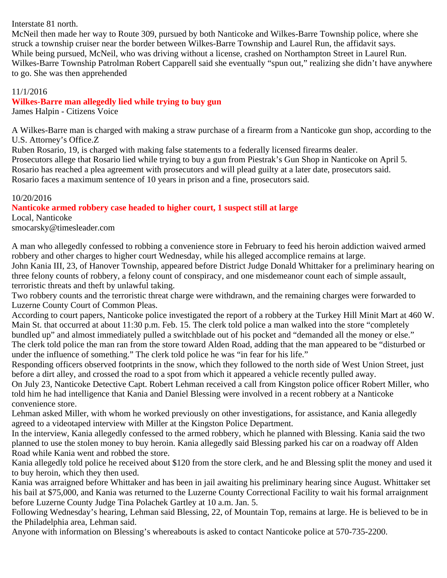Interstate 81 north.

McNeil then made her way to Route 309, pursued by both Nanticoke and Wilkes-Barre Township police, where she struck a township cruiser near the border between Wilkes-Barre Township and Laurel Run, the affidavit says. While being pursued, McNeil, who was driving without a license, crashed on Northampton Street in Laurel Run. Wilkes-Barre Township Patrolman Robert Capparell said she eventually "spun out," realizing she didn't have anywhere to go. She was then apprehended

## 11/1/2016

# **Wilkes-Barre man allegedly lied while trying to buy gun**

James Halpin - Citizens Voice

A Wilkes-Barre man is charged with making a straw purchase of a firearm from a Nanticoke gun shop, according to the U.S. Attorney's Office.Z

Ruben Rosario, 19, is charged with making false statements to a federally licensed firearms dealer. Prosecutors allege that Rosario lied while trying to buy a gun from Piestrak's Gun Shop in Nanticoke on April 5. Rosario has reached a plea agreement with prosecutors and will plead guilty at a later date, prosecutors said. Rosario faces a maximum sentence of 10 years in prison and a fine, prosecutors said.

## 10/20/2016

# **Nanticoke armed robbery case headed to higher court, 1 suspect still at large**

Local, Nanticoke smocarsky@timesleader.com

A man who allegedly confessed to robbing a convenience store in February to feed his heroin addiction waived armed robbery and other charges to higher court Wednesday, while his alleged accomplice remains at large.

John Kania III, 23, of Hanover Township, appeared before District Judge Donald Whittaker for a preliminary hearing on three felony counts of robbery, a felony count of conspiracy, and one misdemeanor count each of simple assault, terroristic threats and theft by unlawful taking.

Two robbery counts and the terroristic threat charge were withdrawn, and the remaining charges were forwarded to Luzerne County Court of Common Pleas.

According to court papers, Nanticoke police investigated the report of a robbery at the Turkey Hill Minit Mart at 460 W. Main St. that occurred at about 11:30 p.m. Feb. 15. The clerk told police a man walked into the store "completely bundled up" and almost immediately pulled a switchblade out of his pocket and "demanded all the money or else." The clerk told police the man ran from the store toward Alden Road, adding that the man appeared to be "disturbed or under the influence of something." The clerk told police he was "in fear for his life."

Responding officers observed footprints in the snow, which they followed to the north side of West Union Street, just before a dirt alley, and crossed the road to a spot from which it appeared a vehicle recently pulled away.

On July 23, Nanticoke Detective Capt. Robert Lehman received a call from Kingston police officer Robert Miller, who told him he had intelligence that Kania and Daniel Blessing were involved in a recent robbery at a Nanticoke convenience store.

Lehman asked Miller, with whom he worked previously on other investigations, for assistance, and Kania allegedly agreed to a videotaped interview with Miller at the Kingston Police Department.

In the interview, Kania allegedly confessed to the armed robbery, which he planned with Blessing. Kania said the two planned to use the stolen money to buy heroin. Kania allegedly said Blessing parked his car on a roadway off Alden Road while Kania went and robbed the store.

Kania allegedly told police he received about \$120 from the store clerk, and he and Blessing split the money and used it to buy heroin, which they then used.

Kania was arraigned before Whittaker and has been in jail awaiting his preliminary hearing since August. Whittaker set his bail at \$75,000, and Kania was returned to the Luzerne County Correctional Facility to wait his formal arraignment before Luzerne County Judge Tina Polachek Gartley at 10 a.m. Jan. 5.

Following Wednesday's hearing, Lehman said Blessing, 22, of Mountain Top, remains at large. He is believed to be in the Philadelphia area, Lehman said.

Anyone with information on Blessing's whereabouts is asked to contact Nanticoke police at 570-735-2200.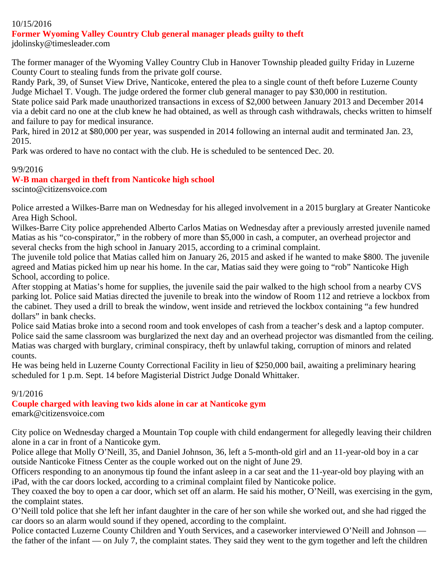# 10/15/2016

### **Former Wyoming Valley Country Club general manager pleads guilty to theft**

jdolinsky@timesleader.com

The former manager of the Wyoming Valley Country Club in Hanover Township pleaded guilty Friday in Luzerne County Court to stealing funds from the private golf course.

Randy Park, 39, of Sunset View Drive, Nanticoke, entered the plea to a single count of theft before Luzerne County Judge Michael T. Vough. The judge ordered the former club general manager to pay \$30,000 in restitution.

State police said Park made unauthorized transactions in excess of \$2,000 between January 2013 and December 2014 via a debit card no one at the club knew he had obtained, as well as through cash withdrawals, checks written to himself and failure to pay for medical insurance.

Park, hired in 2012 at \$80,000 per year, was suspended in 2014 following an internal audit and terminated Jan. 23, 2015.

Park was ordered to have no contact with the club. He is scheduled to be sentenced Dec. 20.

#### 9/9/2016

### **W-B man charged in theft from Nanticoke high school**

sscinto@citizensvoice.com

Police arrested a Wilkes-Barre man on Wednesday for his alleged involvement in a 2015 burglary at Greater Nanticoke Area High School.

Wilkes-Barre City police apprehended Alberto Carlos Matias on Wednesday after a previously arrested juvenile named Matias as his "co-conspirator," in the robbery of more than \$5,000 in cash, a computer, an overhead projector and several checks from the high school in January 2015, according to a criminal complaint.

The juvenile told police that Matias called him on January 26, 2015 and asked if he wanted to make \$800. The juvenile agreed and Matias picked him up near his home. In the car, Matias said they were going to "rob" Nanticoke High School, according to police.

After stopping at Matias's home for supplies, the juvenile said the pair walked to the high school from a nearby CVS parking lot. Police said Matias directed the juvenile to break into the window of Room 112 and retrieve a lockbox from the cabinet. They used a drill to break the window, went inside and retrieved the lockbox containing "a few hundred dollars" in bank checks.

Police said Matias broke into a second room and took envelopes of cash from a teacher's desk and a laptop computer. Police said the same classroom was burglarized the next day and an overhead projector was dismantled from the ceiling. Matias was charged with burglary, criminal conspiracy, theft by unlawful taking, corruption of minors and related counts.

He was being held in Luzerne County Correctional Facility in lieu of \$250,000 bail, awaiting a preliminary hearing scheduled for 1 p.m. Sept. 14 before Magisterial District Judge Donald Whittaker.

#### 9/1/2016

### **Couple charged with leaving two kids alone in car at Nanticoke gym**

emark@citizensvoice.com

City police on Wednesday charged a Mountain Top couple with child endangerment for allegedly leaving their children alone in a car in front of a Nanticoke gym.

Police allege that Molly O'Neill, 35, and Daniel Johnson, 36, left a 5-month-old girl and an 11-year-old boy in a car outside Nanticoke Fitness Center as the couple worked out on the night of June 29.

Officers responding to an anonymous tip found the infant asleep in a car seat and the 11-year-old boy playing with an iPad, with the car doors locked, according to a criminal complaint filed by Nanticoke police.

They coaxed the boy to open a car door, which set off an alarm. He said his mother, O'Neill, was exercising in the gym, the complaint states.

O'Neill told police that she left her infant daughter in the care of her son while she worked out, and she had rigged the car doors so an alarm would sound if they opened, according to the complaint.

Police contacted Luzerne County Children and Youth Services, and a caseworker interviewed O'Neill and Johnson the father of the infant — on July 7, the complaint states. They said they went to the gym together and left the children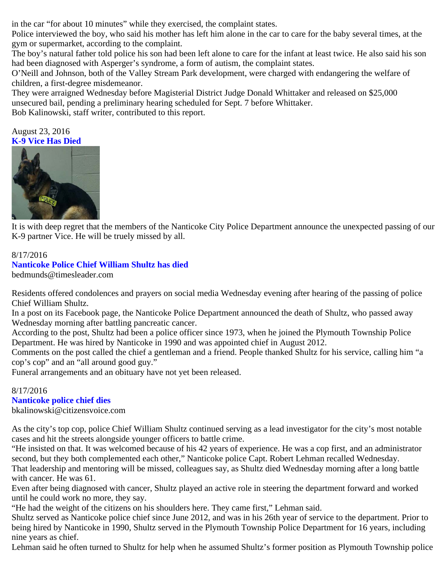in the car "for about 10 minutes" while they exercised, the complaint states.

Police interviewed the boy, who said his mother has left him alone in the car to care for the baby several times, at the gym or supermarket, according to the complaint.

The boy's natural father told police his son had been left alone to care for the infant at least twice. He also said his son had been diagnosed with Asperger's syndrome, a form of autism, the complaint states.

O'Neill and Johnson, both of the Valley Stream Park development, were charged with endangering the welfare of children, a first-degree misdemeanor.

They were arraigned Wednesday before Magisterial District Judge Donald Whittaker and released on \$25,000 unsecured bail, pending a preliminary hearing scheduled for Sept. 7 before Whittaker.

Bob Kalinowski, staff writer, contributed to this report.

## August 23, 2016 **K-9 Vice Has Died**



It is with deep regret that the members of the Nanticoke City Police Department announce the unexpected passing of our K-9 partner Vice. He will be truely missed by all.

# 8/17/2016 **Nanticoke Police Chief William Shultz has died**

bedmunds@timesleader.com

Residents offered condolences and prayers on social media Wednesday evening after hearing of the passing of police Chief William Shultz.

In a post on its Facebook page, the Nanticoke Police Department announced the death of Shultz, who passed away Wednesday morning after battling pancreatic cancer.

According to the post, Shultz had been a police officer since 1973, when he joined the Plymouth Township Police Department. He was hired by Nanticoke in 1990 and was appointed chief in August 2012.

Comments on the post called the chief a gentleman and a friend. People thanked Shultz for his service, calling him "a cop's cop" and an "all around good guy."

Funeral arrangements and an obituary have not yet been released.

# 8/17/2016

## **Nanticoke police chief dies**

bkalinowski@citizensvoice.com

As the city's top cop, police Chief William Shultz continued serving as a lead investigator for the city's most notable cases and hit the streets alongside younger officers to battle crime.

"He insisted on that. It was welcomed because of his 42 years of experience. He was a cop first, and an administrator second, but they both complemented each other," Nanticoke police Capt. Robert Lehman recalled Wednesday.

That leadership and mentoring will be missed, colleagues say, as Shultz died Wednesday morning after a long battle with cancer. He was 61.

Even after being diagnosed with cancer, Shultz played an active role in steering the department forward and worked until he could work no more, they say.

"He had the weight of the citizens on his shoulders here. They came first," Lehman said.

Shultz served as Nanticoke police chief since June 2012, and was in his 26th year of service to the department. Prior to being hired by Nanticoke in 1990, Shultz served in the Plymouth Township Police Department for 16 years, including nine years as chief.

Lehman said he often turned to Shultz for help when he assumed Shultz's former position as Plymouth Township police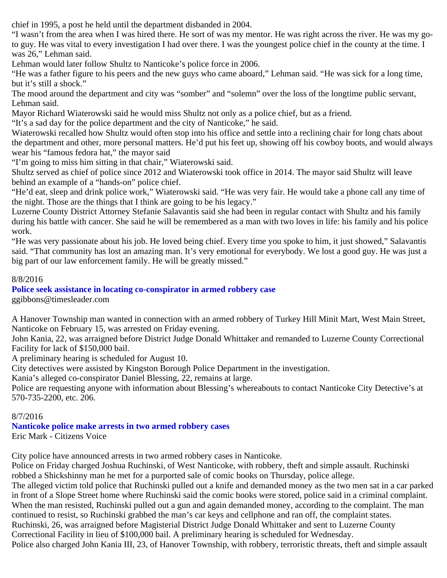chief in 1995, a post he held until the department disbanded in 2004.

"I wasn't from the area when I was hired there. He sort of was my mentor. He was right across the river. He was my goto guy. He was vital to every investigation I had over there. I was the youngest police chief in the county at the time. I was 26," Lehman said.

Lehman would later follow Shultz to Nanticoke's police force in 2006.

"He was a father figure to his peers and the new guys who came aboard," Lehman said. "He was sick for a long time, but it's still a shock."

The mood around the department and city was "somber" and "solemn" over the loss of the longtime public servant, Lehman said.

Mayor Richard Wiaterowski said he would miss Shultz not only as a police chief, but as a friend.

"It's a sad day for the police department and the city of Nanticoke," he said.

Wiaterowski recalled how Shultz would often stop into his office and settle into a reclining chair for long chats about the department and other, more personal matters. He'd put his feet up, showing off his cowboy boots, and would always wear his "famous fedora hat," the mayor said

"I'm going to miss him sitting in that chair," Wiaterowski said.

Shultz served as chief of police since 2012 and Wiaterowski took office in 2014. The mayor said Shultz will leave behind an example of a "hands-on" police chief.

"He'd eat, sleep and drink police work," Wiaterowski said. "He was very fair. He would take a phone call any time of the night. Those are the things that I think are going to be his legacy."

Luzerne County District Attorney Stefanie Salavantis said she had been in regular contact with Shultz and his family during his battle with cancer. She said he will be remembered as a man with two loves in life: his family and his police work.

"He was very passionate about his job. He loved being chief. Every time you spoke to him, it just showed," Salavantis said. "That community has lost an amazing man. It's very emotional for everybody. We lost a good guy. He was just a big part of our law enforcement family. He will be greatly missed."

## 8/8/2016

# **Police seek assistance in locating co-conspirator in armed robbery case**

ggibbons@timesleader.com

A Hanover Township man wanted in connection with an armed robbery of Turkey Hill Minit Mart, West Main Street, Nanticoke on February 15, was arrested on Friday evening.

John Kania, 22, was arraigned before District Judge Donald Whittaker and remanded to Luzerne County Correctional Facility for lack of \$150,000 bail.

A preliminary hearing is scheduled for August 10.

City detectives were assisted by Kingston Borough Police Department in the investigation.

Kania's alleged co-conspirator Daniel Blessing, 22, remains at large.

Police are requesting anyone with information about Blessing's whereabouts to contact Nanticoke City Detective's at 570-735-2200, etc. 206.

# 8/7/2016

# **Nanticoke police make arrests in two armed robbery cases**

Eric Mark - Citizens Voice

City police have announced arrests in two armed robbery cases in Nanticoke.

Police on Friday charged Joshua Ruchinski, of West Nanticoke, with robbery, theft and simple assault. Ruchinski robbed a Shickshinny man he met for a purported sale of comic books on Thursday, police allege.

The alleged victim told police that Ruchinski pulled out a knife and demanded money as the two men sat in a car parked in front of a Slope Street home where Ruchinski said the comic books were stored, police said in a criminal complaint. When the man resisted, Ruchinski pulled out a gun and again demanded money, according to the complaint. The man continued to resist, so Ruchinski grabbed the man's car keys and cellphone and ran off, the complaint states. Ruchinski, 26, was arraigned before Magisterial District Judge Donald Whittaker and sent to Luzerne County Correctional Facility in lieu of \$100,000 bail. A preliminary hearing is scheduled for Wednesday.

Police also charged John Kania III, 23, of Hanover Township, with robbery, terroristic threats, theft and simple assault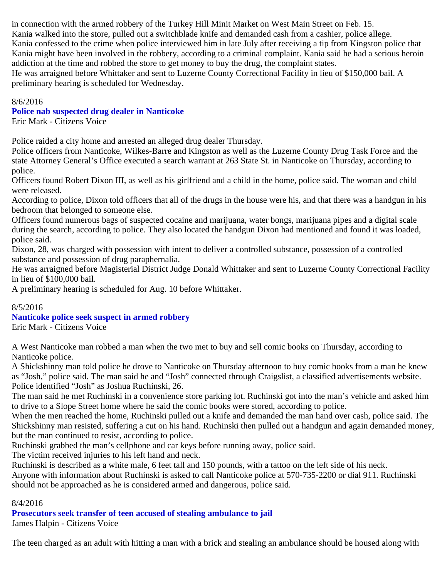in connection with the armed robbery of the Turkey Hill Minit Market on West Main Street on Feb. 15. Kania walked into the store, pulled out a switchblade knife and demanded cash from a cashier, police allege. Kania confessed to the crime when police interviewed him in late July after receiving a tip from Kingston police that Kania might have been involved in the robbery, according to a criminal complaint. Kania said he had a serious heroin addiction at the time and robbed the store to get money to buy the drug, the complaint states. He was arraigned before Whittaker and sent to Luzerne County Correctional Facility in lieu of \$150,000 bail. A preliminary hearing is scheduled for Wednesday.

### 8/6/2016

## **Police nab suspected drug dealer in Nanticoke**

Eric Mark - Citizens Voice

Police raided a city home and arrested an alleged drug dealer Thursday.

Police officers from Nanticoke, Wilkes-Barre and Kingston as well as the Luzerne County Drug Task Force and the state Attorney General's Office executed a search warrant at 263 State St. in Nanticoke on Thursday, according to police.

Officers found Robert Dixon III, as well as his girlfriend and a child in the home, police said. The woman and child were released.

According to police, Dixon told officers that all of the drugs in the house were his, and that there was a handgun in his bedroom that belonged to someone else.

Officers found numerous bags of suspected cocaine and marijuana, water bongs, marijuana pipes and a digital scale during the search, according to police. They also located the handgun Dixon had mentioned and found it was loaded, police said.

Dixon, 28, was charged with possession with intent to deliver a controlled substance, possession of a controlled substance and possession of drug paraphernalia.

He was arraigned before Magisterial District Judge Donald Whittaker and sent to Luzerne County Correctional Facility in lieu of \$100,000 bail.

A preliminary hearing is scheduled for Aug. 10 before Whittaker.

### 8/5/2016

# **Nanticoke police seek suspect in armed robbery**

Eric Mark - Citizens Voice

A West Nanticoke man robbed a man when the two met to buy and sell comic books on Thursday, according to Nanticoke police.

A Shickshinny man told police he drove to Nanticoke on Thursday afternoon to buy comic books from a man he knew as "Josh," police said. The man said he and "Josh" connected through Craigslist, a classified advertisements website. Police identified "Josh" as Joshua Ruchinski, 26.

The man said he met Ruchinski in a convenience store parking lot. Ruchinski got into the man's vehicle and asked him to drive to a Slope Street home where he said the comic books were stored, according to police.

When the men reached the home, Ruchinski pulled out a knife and demanded the man hand over cash, police said. The Shickshinny man resisted, suffering a cut on his hand. Ruchinski then pulled out a handgun and again demanded money, but the man continued to resist, according to police.

Ruchinski grabbed the man's cellphone and car keys before running away, police said.

The victim received injuries to his left hand and neck.

Ruchinski is described as a white male, 6 feet tall and 150 pounds, with a tattoo on the left side of his neck.

Anyone with information about Ruchinski is asked to call Nanticoke police at 570-735-2200 or dial 911. Ruchinski should not be approached as he is considered armed and dangerous, police said.

### 8/4/2016

# **Prosecutors seek transfer of teen accused of stealing ambulance to jail**

James Halpin - Citizens Voice

The teen charged as an adult with hitting a man with a brick and stealing an ambulance should be housed along with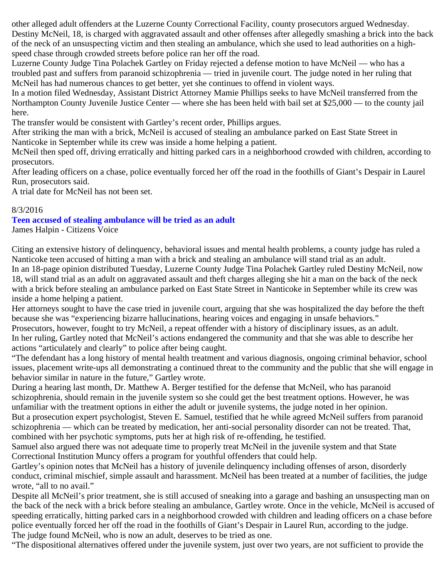other alleged adult offenders at the Luzerne County Correctional Facility, county prosecutors argued Wednesday. Destiny McNeil, 18, is charged with aggravated assault and other offenses after allegedly smashing a brick into the back of the neck of an unsuspecting victim and then stealing an ambulance, which she used to lead authorities on a highspeed chase through crowded streets before police ran her off the road.

Luzerne County Judge Tina Polachek Gartley on Friday rejected a defense motion to have McNeil — who has a troubled past and suffers from paranoid schizophrenia — tried in juvenile court. The judge noted in her ruling that McNeil has had numerous chances to get better, yet she continues to offend in violent ways.

In a motion filed Wednesday, Assistant District Attorney Mamie Phillips seeks to have McNeil transferred from the Northampton County Juvenile Justice Center — where she has been held with bail set at \$25,000 — to the county jail here.

The transfer would be consistent with Gartley's recent order, Phillips argues.

After striking the man with a brick, McNeil is accused of stealing an ambulance parked on East State Street in Nanticoke in September while its crew was inside a home helping a patient.

McNeil then sped off, driving erratically and hitting parked cars in a neighborhood crowded with children, according to prosecutors.

After leading officers on a chase, police eventually forced her off the road in the foothills of Giant's Despair in Laurel Run, prosecutors said.

A trial date for McNeil has not been set.

# 8/3/2016

# **Teen accused of stealing ambulance will be tried as an adult**

James Halpin - Citizens Voice

Citing an extensive history of delinquency, behavioral issues and mental health problems, a county judge has ruled a Nanticoke teen accused of hitting a man with a brick and stealing an ambulance will stand trial as an adult. In an 18-page opinion distributed Tuesday, Luzerne County Judge Tina Polachek Gartley ruled Destiny McNeil, now 18, will stand trial as an adult on aggravated assault and theft charges alleging she hit a man on the back of the neck with a brick before stealing an ambulance parked on East State Street in Nanticoke in September while its crew was inside a home helping a patient.

Her attorneys sought to have the case tried in juvenile court, arguing that she was hospitalized the day before the theft because she was "experiencing bizarre hallucinations, hearing voices and engaging in unsafe behaviors."

Prosecutors, however, fought to try McNeil, a repeat offender with a history of disciplinary issues, as an adult. In her ruling, Gartley noted that McNeil's actions endangered the community and that she was able to describe her actions "articulately and clearly" to police after being caught.

"The defendant has a long history of mental health treatment and various diagnosis, ongoing criminal behavior, school issues, placement write-ups all demonstrating a continued threat to the community and the public that she will engage in behavior similar in nature in the future," Gartley wrote.

During a hearing last month, Dr. Matthew A. Berger testified for the defense that McNeil, who has paranoid schizophrenia, should remain in the juvenile system so she could get the best treatment options. However, he was unfamiliar with the treatment options in either the adult or juvenile systems, the judge noted in her opinion. But a prosecution expert psychologist, Steven E. Samuel, testified that he while agreed McNeil suffers from paranoid schizophrenia — which can be treated by medication, her anti-social personality disorder can not be treated. That, combined with her psychotic symptoms, puts her at high risk of re-offending, he testified.

Samuel also argued there was not adequate time to properly treat McNeil in the juvenile system and that State Correctional Institution Muncy offers a program for youthful offenders that could help.

Gartley's opinion notes that McNeil has a history of juvenile delinquency including offenses of arson, disorderly conduct, criminal mischief, simple assault and harassment. McNeil has been treated at a number of facilities, the judge wrote, "all to no avail."

Despite all McNeil's prior treatment, she is still accused of sneaking into a garage and bashing an unsuspecting man on the back of the neck with a brick before stealing an ambulance, Gartley wrote. Once in the vehicle, McNeil is accused of speeding erratically, hitting parked cars in a neighborhood crowded with children and leading officers on a chase before police eventually forced her off the road in the foothills of Giant's Despair in Laurel Run, according to the judge. The judge found McNeil, who is now an adult, deserves to be tried as one.

"The dispositional alternatives offered under the juvenile system, just over two years, are not sufficient to provide the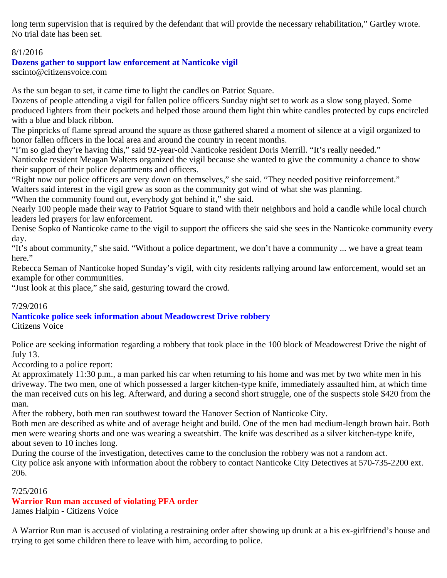long term supervision that is required by the defendant that will provide the necessary rehabilitation," Gartley wrote. No trial date has been set.

# 8/1/2016

# **Dozens gather to support law enforcement at Nanticoke vigil**

sscinto@citizensvoice.com

As the sun began to set, it came time to light the candles on Patriot Square.

Dozens of people attending a vigil for fallen police officers Sunday night set to work as a slow song played. Some produced lighters from their pockets and helped those around them light thin white candles protected by cups encircled with a blue and black ribbon.

The pinpricks of flame spread around the square as those gathered shared a moment of silence at a vigil organized to honor fallen officers in the local area and around the country in recent months.

"I'm so glad they're having this," said 92-year-old Nanticoke resident Doris Merrill. "It's really needed."

Nanticoke resident Meagan Walters organized the vigil because she wanted to give the community a chance to show their support of their police departments and officers.

"Right now our police officers are very down on themselves," she said. "They needed positive reinforcement."

Walters said interest in the vigil grew as soon as the community got wind of what she was planning.

"When the community found out, everybody got behind it," she said.

Nearly 100 people made their way to Patriot Square to stand with their neighbors and hold a candle while local church leaders led prayers for law enforcement.

Denise Sopko of Nanticoke came to the vigil to support the officers she said she sees in the Nanticoke community every day.

"It's about community," she said. "Without a police department, we don't have a community ... we have a great team here."

Rebecca Seman of Nanticoke hoped Sunday's vigil, with city residents rallying around law enforcement, would set an example for other communities.

"Just look at this place," she said, gesturing toward the crowd.

# 7/29/2016

# **Nanticoke police seek information about Meadowcrest Drive robbery**

Citizens Voice

Police are seeking information regarding a robbery that took place in the 100 block of Meadowcrest Drive the night of July 13.

According to a police report:

At approximately 11:30 p.m., a man parked his car when returning to his home and was met by two white men in his driveway. The two men, one of which possessed a larger kitchen-type knife, immediately assaulted him, at which time the man received cuts on his leg. Afterward, and during a second short struggle, one of the suspects stole \$420 from the man.

After the robbery, both men ran southwest toward the Hanover Section of Nanticoke City.

Both men are described as white and of average height and build. One of the men had medium-length brown hair. Both men were wearing shorts and one was wearing a sweatshirt. The knife was described as a silver kitchen-type knife, about seven to 10 inches long.

During the course of the investigation, detectives came to the conclusion the robbery was not a random act. City police ask anyone with information about the robbery to contact Nanticoke City Detectives at 570-735-2200 ext. 206.

### 7/25/2016

# **Warrior Run man accused of violating PFA order**

James Halpin - Citizens Voice

A Warrior Run man is accused of violating a restraining order after showing up drunk at a his ex-girlfriend's house and trying to get some children there to leave with him, according to police.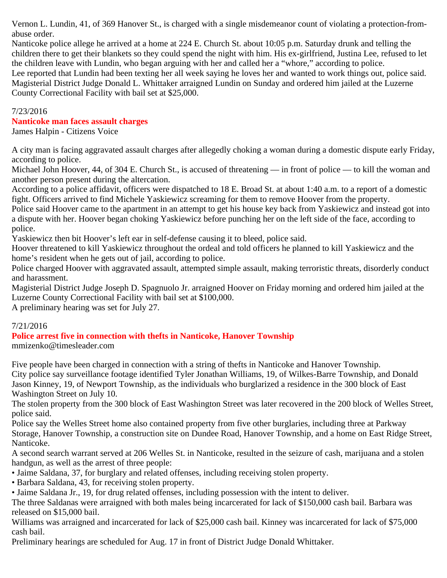Vernon L. Lundin, 41, of 369 Hanover St., is charged with a single misdemeanor count of violating a protection-fromabuse order.

Nanticoke police allege he arrived at a home at 224 E. Church St. about 10:05 p.m. Saturday drunk and telling the children there to get their blankets so they could spend the night with him. His ex-girlfriend, Justina Lee, refused to let the children leave with Lundin, who began arguing with her and called her a "whore," according to police. Lee reported that Lundin had been texting her all week saying he loves her and wanted to work things out, police said. Magisterial District Judge Donald L. Whittaker arraigned Lundin on Sunday and ordered him jailed at the Luzerne County Correctional Facility with bail set at \$25,000.

#### 7/23/2016

#### **Nanticoke man faces assault charges**

James Halpin - Citizens Voice

A city man is facing aggravated assault charges after allegedly choking a woman during a domestic dispute early Friday, according to police.

Michael John Hoover, 44, of 304 E. Church St., is accused of threatening — in front of police — to kill the woman and another person present during the altercation.

According to a police affidavit, officers were dispatched to 18 E. Broad St. at about 1:40 a.m. to a report of a domestic fight. Officers arrived to find Michele Yaskiewicz screaming for them to remove Hoover from the property.

Police said Hoover came to the apartment in an attempt to get his house key back from Yaskiewicz and instead got into a dispute with her. Hoover began choking Yaskiewicz before punching her on the left side of the face, according to police.

Yaskiewicz then bit Hoover's left ear in self-defense causing it to bleed, police said.

Hoover threatened to kill Yaskiewicz throughout the ordeal and told officers he planned to kill Yaskiewicz and the home's resident when he gets out of jail, according to police.

Police charged Hoover with aggravated assault, attempted simple assault, making terroristic threats, disorderly conduct and harassment.

Magisterial District Judge Joseph D. Spagnuolo Jr. arraigned Hoover on Friday morning and ordered him jailed at the Luzerne County Correctional Facility with bail set at \$100,000.

A preliminary hearing was set for July 27.

### 7/21/2016

### **Police arrest five in connection with thefts in Nanticoke, Hanover Township**

mmizenko@timesleader.com

Five people have been charged in connection with a string of thefts in Nanticoke and Hanover Township. City police say surveillance footage identified Tyler Jonathan Williams, 19, of Wilkes-Barre Township, and Donald Jason Kinney, 19, of Newport Township, as the individuals who burglarized a residence in the 300 block of East Washington Street on July 10.

The stolen property from the 300 block of East Washington Street was later recovered in the 200 block of Welles Street, police said.

Police say the Welles Street home also contained property from five other burglaries, including three at Parkway Storage, Hanover Township, a construction site on Dundee Road, Hanover Township, and a home on East Ridge Street, Nanticoke.

A second search warrant served at 206 Welles St. in Nanticoke, resulted in the seizure of cash, marijuana and a stolen handgun, as well as the arrest of three people:

• Jaime Saldana, 37, for burglary and related offenses, including receiving stolen property.

• Barbara Saldana, 43, for receiving stolen property.

• Jaime Saldana Jr., 19, for drug related offenses, including possession with the intent to deliver.

The three Saldanas were arraigned with both males being incarcerated for lack of \$150,000 cash bail. Barbara was released on \$15,000 bail.

Williams was arraigned and incarcerated for lack of \$25,000 cash bail. Kinney was incarcerated for lack of \$75,000 cash bail.

Preliminary hearings are scheduled for Aug. 17 in front of District Judge Donald Whittaker.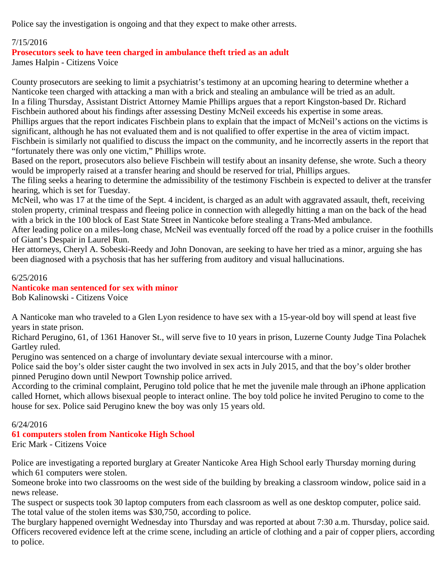Police say the investigation is ongoing and that they expect to make other arrests.

# 7/15/2016

## **Prosecutors seek to have teen charged in ambulance theft tried as an adult**

James Halpin - Citizens Voice

County prosecutors are seeking to limit a psychiatrist's testimony at an upcoming hearing to determine whether a Nanticoke teen charged with attacking a man with a brick and stealing an ambulance will be tried as an adult. In a filing Thursday, Assistant District Attorney Mamie Phillips argues that a report Kingston-based Dr. Richard Fischbein authored about his findings after assessing Destiny McNeil exceeds his expertise in some areas. Phillips argues that the report indicates Fischbein plans to explain that the impact of McNeil's actions on the victims is significant, although he has not evaluated them and is not qualified to offer expertise in the area of victim impact. Fischbein is similarly not qualified to discuss the impact on the community, and he incorrectly asserts in the report that "fortunately there was only one victim," Phillips wrote.

Based on the report, prosecutors also believe Fischbein will testify about an insanity defense, she wrote. Such a theory would be improperly raised at a transfer hearing and should be reserved for trial, Phillips argues.

The filing seeks a hearing to determine the admissibility of the testimony Fischbein is expected to deliver at the transfer hearing, which is set for Tuesday.

McNeil, who was 17 at the time of the Sept. 4 incident, is charged as an adult with aggravated assault, theft, receiving stolen property, criminal trespass and fleeing police in connection with allegedly hitting a man on the back of the head with a brick in the 100 block of East State Street in Nanticoke before stealing a Trans-Med ambulance.

After leading police on a miles-long chase, McNeil was eventually forced off the road by a police cruiser in the foothills of Giant's Despair in Laurel Run.

Her attorneys, Cheryl A. Sobeski-Reedy and John Donovan, are seeking to have her tried as a minor, arguing she has been diagnosed with a psychosis that has her suffering from auditory and visual hallucinations.

### 6/25/2016

#### **Nanticoke man sentenced for sex with minor** Bob Kalinowski - Citizens Voice

A Nanticoke man who traveled to a Glen Lyon residence to have sex with a 15-year-old boy will spend at least five years in state prison.

Richard Perugino, 61, of 1361 Hanover St., will serve five to 10 years in prison, Luzerne County Judge Tina Polachek Gartley ruled.

Perugino was sentenced on a charge of involuntary deviate sexual intercourse with a minor.

Police said the boy's older sister caught the two involved in sex acts in July 2015, and that the boy's older brother pinned Perugino down until Newport Township police arrived.

According to the criminal complaint, Perugino told police that he met the juvenile male through an iPhone application called Hornet, which allows bisexual people to interact online. The boy told police he invited Perugino to come to the house for sex. Police said Perugino knew the boy was only 15 years old.

### 6/24/2016

# **61 computers stolen from Nanticoke High School**

Eric Mark - Citizens Voice

Police are investigating a reported burglary at Greater Nanticoke Area High School early Thursday morning during which 61 computers were stolen.

Someone broke into two classrooms on the west side of the building by breaking a classroom window, police said in a news release.

The suspect or suspects took 30 laptop computers from each classroom as well as one desktop computer, police said. The total value of the stolen items was \$30,750, according to police.

The burglary happened overnight Wednesday into Thursday and was reported at about 7:30 a.m. Thursday, police said. Officers recovered evidence left at the crime scene, including an article of clothing and a pair of copper pliers, according to police.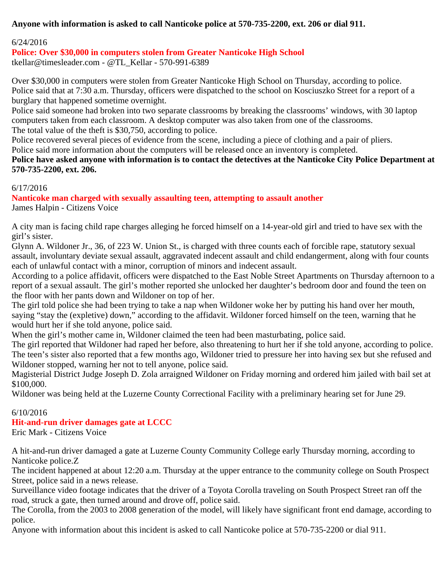# **Anyone with information is asked to call Nanticoke police at 570-735-2200, ext. 206 or dial 911.**

## 6/24/2016

# **Police: Over \$30,000 in computers stolen from Greater Nanticoke High School**

tkellar@timesleader.com - @TL\_Kellar - 570-991-6389

Over \$30,000 in computers were stolen from Greater Nanticoke High School on Thursday, according to police. Police said that at 7:30 a.m. Thursday, officers were dispatched to the school on Kosciuszko Street for a report of a burglary that happened sometime overnight.

Police said someone had broken into two separate classrooms by breaking the classrooms' windows, with 30 laptop computers taken from each classroom. A desktop computer was also taken from one of the classrooms. The total value of the theft is \$30,750, according to police.

Police recovered several pieces of evidence from the scene, including a piece of clothing and a pair of pliers. Police said more information about the computers will be released once an inventory is completed.

**Police have asked anyone with information is to contact the detectives at the Nanticoke City Police Department at 570-735-2200, ext. 206.**

### 6/17/2016

# **Nanticoke man charged with sexually assaulting teen, attempting to assault another**

James Halpin - Citizens Voice

A city man is facing child rape charges alleging he forced himself on a 14-year-old girl and tried to have sex with the girl's sister.

Glynn A. Wildoner Jr., 36, of 223 W. Union St., is charged with three counts each of forcible rape, statutory sexual assault, involuntary deviate sexual assault, aggravated indecent assault and child endangerment, along with four counts each of unlawful contact with a minor, corruption of minors and indecent assault.

According to a police affidavit, officers were dispatched to the East Noble Street Apartments on Thursday afternoon to a report of a sexual assault. The girl's mother reported she unlocked her daughter's bedroom door and found the teen on the floor with her pants down and Wildoner on top of her.

The girl told police she had been trying to take a nap when Wildoner woke her by putting his hand over her mouth, saying "stay the (expletive) down," according to the affidavit. Wildoner forced himself on the teen, warning that he would hurt her if she told anyone, police said.

When the girl's mother came in, Wildoner claimed the teen had been masturbating, police said.

The girl reported that Wildoner had raped her before, also threatening to hurt her if she told anyone, according to police. The teen's sister also reported that a few months ago, Wildoner tried to pressure her into having sex but she refused and Wildoner stopped, warning her not to tell anyone, police said.

Magisterial District Judge Joseph D. Zola arraigned Wildoner on Friday morning and ordered him jailed with bail set at \$100,000.

Wildoner was being held at the Luzerne County Correctional Facility with a preliminary hearing set for June 29.

### 6/10/2016

# **Hit-and-run driver damages gate at LCCC**

Eric Mark - Citizens Voice

A hit-and-run driver damaged a gate at Luzerne County Community College early Thursday morning, according to Nanticoke police.Z

The incident happened at about 12:20 a.m. Thursday at the upper entrance to the community college on South Prospect Street, police said in a news release.

Surveillance video footage indicates that the driver of a Toyota Corolla traveling on South Prospect Street ran off the road, struck a gate, then turned around and drove off, police said.

The Corolla, from the 2003 to 2008 generation of the model, will likely have significant front end damage, according to police.

Anyone with information about this incident is asked to call Nanticoke police at 570-735-2200 or dial 911.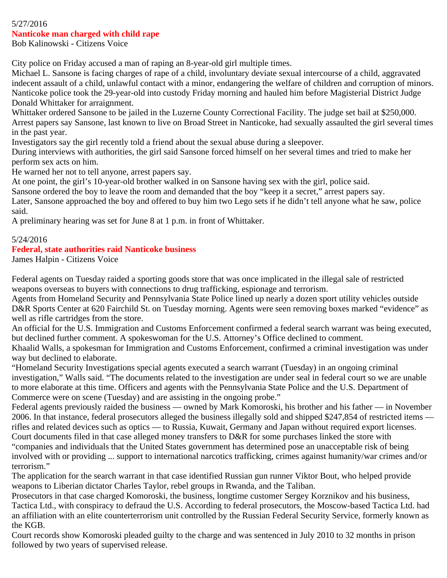#### 5/27/2016 **Nanticoke man charged with child rape**

Bob Kalinowski - Citizens Voice

City police on Friday accused a man of raping an 8-year-old girl multiple times.

Michael L. Sansone is facing charges of rape of a child, involuntary deviate sexual intercourse of a child, aggravated indecent assault of a child, unlawful contact with a minor, endangering the welfare of children and corruption of minors. Nanticoke police took the 29-year-old into custody Friday morning and hauled him before Magisterial District Judge Donald Whittaker for arraignment.

Whittaker ordered Sansone to be jailed in the Luzerne County Correctional Facility. The judge set bail at \$250,000. Arrest papers say Sansone, last known to live on Broad Street in Nanticoke, had sexually assaulted the girl several times in the past year.

Investigators say the girl recently told a friend about the sexual abuse during a sleepover.

During interviews with authorities, the girl said Sansone forced himself on her several times and tried to make her perform sex acts on him.

He warned her not to tell anyone, arrest papers say.

At one point, the girl's 10-year-old brother walked in on Sansone having sex with the girl, police said.

Sansone ordered the boy to leave the room and demanded that the boy "keep it a secret," arrest papers say.

Later, Sansone approached the boy and offered to buy him two Lego sets if he didn't tell anyone what he saw, police said.

A preliminary hearing was set for June 8 at 1 p.m. in front of Whittaker.

## 5/24/2016

## **Federal, state authorities raid Nanticoke business**

James Halpin - Citizens Voice

Federal agents on Tuesday raided a sporting goods store that was once implicated in the illegal sale of restricted weapons overseas to buyers with connections to drug trafficking, espionage and terrorism.

Agents from Homeland Security and Pennsylvania State Police lined up nearly a dozen sport utility vehicles outside D&R Sports Center at 620 Fairchild St. on Tuesday morning. Agents were seen removing boxes marked "evidence" as well as rifle cartridges from the store.

An official for the U.S. Immigration and Customs Enforcement confirmed a federal search warrant was being executed, but declined further comment. A spokeswoman for the U.S. Attorney's Office declined to comment.

Khaalid Walls, a spokesman for Immigration and Customs Enforcement, confirmed a criminal investigation was under way but declined to elaborate.

"Homeland Security Investigations special agents executed a search warrant (Tuesday) in an ongoing criminal investigation," Walls said. "The documents related to the investigation are under seal in federal court so we are unable to more elaborate at this time. Officers and agents with the Pennsylvania State Police and the U.S. Department of Commerce were on scene (Tuesday) and are assisting in the ongoing probe."

Federal agents previously raided the business — owned by Mark Komoroski, his brother and his father — in November 2006. In that instance, federal prosecutors alleged the business illegally sold and shipped \$247,854 of restricted items rifles and related devices such as optics — to Russia, Kuwait, Germany and Japan without required export licenses. Court documents filed in that case alleged money transfers to D&R for some purchases linked the store with

"companies and individuals that the United States government has determined pose an unacceptable risk of being involved with or providing ... support to international narcotics trafficking, crimes against humanity/war crimes and/or terrorism."

The application for the search warrant in that case identified Russian gun runner Viktor Bout, who helped provide weapons to Liberian dictator Charles Taylor, rebel groups in Rwanda, and the Taliban.

Prosecutors in that case charged Komoroski, the business, longtime customer Sergey Korznikov and his business, Tactica Ltd., with conspiracy to defraud the U.S. According to federal prosecutors, the Moscow-based Tactica Ltd. had an affiliation with an elite counterterrorism unit controlled by the Russian Federal Security Service, formerly known as the KGB.

Court records show Komoroski pleaded guilty to the charge and was sentenced in July 2010 to 32 months in prison followed by two years of supervised release.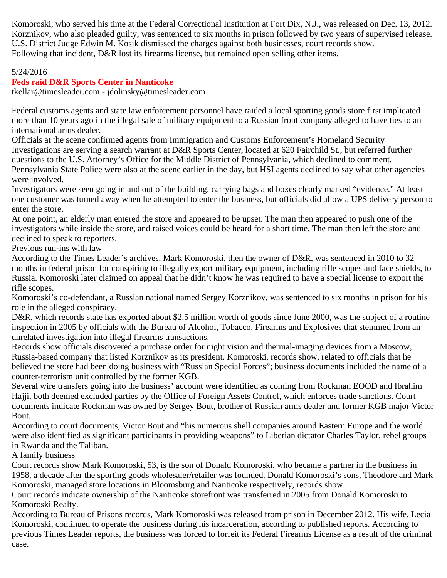Komoroski, who served his time at the Federal Correctional Institution at Fort Dix, N.J., was released on Dec. 13, 2012. Korznikov, who also pleaded guilty, was sentenced to six months in prison followed by two years of supervised release. U.S. District Judge Edwin M. Kosik dismissed the charges against both businesses, court records show. Following that incident, D&R lost its firearms license, but remained open selling other items.

### 5/24/2016

## **Feds raid D&R Sports Center in Nanticoke**

tkellar@timesleader.com - jdolinsky@timesleader.com

Federal customs agents and state law enforcement personnel have raided a local sporting goods store first implicated more than 10 years ago in the illegal sale of military equipment to a Russian front company alleged to have ties to an international arms dealer.

Officials at the scene confirmed agents from Immigration and Customs Enforcement's Homeland Security Investigations are serving a search warrant at D&R Sports Center, located at 620 Fairchild St., but referred further questions to the U.S. Attorney's Office for the Middle District of Pennsylvania, which declined to comment. Pennsylvania State Police were also at the scene earlier in the day, but HSI agents declined to say what other agencies were involved.

Investigators were seen going in and out of the building, carrying bags and boxes clearly marked "evidence." At least one customer was turned away when he attempted to enter the business, but officials did allow a UPS delivery person to enter the store.

At one point, an elderly man entered the store and appeared to be upset. The man then appeared to push one of the investigators while inside the store, and raised voices could be heard for a short time. The man then left the store and declined to speak to reporters.

Previous run-ins with law

According to the Times Leader's archives, Mark Komoroski, then the owner of D&R, was sentenced in 2010 to 32 months in federal prison for conspiring to illegally export military equipment, including rifle scopes and face shields, to Russia. Komoroski later claimed on appeal that he didn't know he was required to have a special license to export the rifle scopes.

Komoroski's co-defendant, a Russian national named Sergey Korznikov, was sentenced to six months in prison for his role in the alleged conspiracy.

D&R, which records state has exported about \$2.5 million worth of goods since June 2000, was the subject of a routine inspection in 2005 by officials with the Bureau of Alcohol, Tobacco, Firearms and Explosives that stemmed from an unrelated investigation into illegal firearms transactions.

Records show officials discovered a purchase order for night vision and thermal-imaging devices from a Moscow, Russia-based company that listed Korznikov as its president. Komoroski, records show, related to officials that he believed the store had been doing business with "Russian Special Forces"; business documents included the name of a counter-terrorism unit controlled by the former KGB.

Several wire transfers going into the business' account were identified as coming from Rockman EOOD and Ibrahim Hajji, both deemed excluded parties by the Office of Foreign Assets Control, which enforces trade sanctions. Court documents indicate Rockman was owned by Sergey Bout, brother of Russian arms dealer and former KGB major Victor Bout.

According to court documents, Victor Bout and "his numerous shell companies around Eastern Europe and the world were also identified as significant participants in providing weapons" to Liberian dictator Charles Taylor, rebel groups in Rwanda and the Taliban.

A family business

Court records show Mark Komoroski, 53, is the son of Donald Komoroski, who became a partner in the business in 1958, a decade after the sporting goods wholesaler/retailer was founded. Donald Komoroski's sons, Theodore and Mark Komoroski, managed store locations in Bloomsburg and Nanticoke respectively, records show.

Court records indicate ownership of the Nanticoke storefront was transferred in 2005 from Donald Komoroski to Komoroski Realty.

According to Bureau of Prisons records, Mark Komoroski was released from prison in December 2012. His wife, Lecia Komoroski, continued to operate the business during his incarceration, according to published reports. According to previous Times Leader reports, the business was forced to forfeit its Federal Firearms License as a result of the criminal case.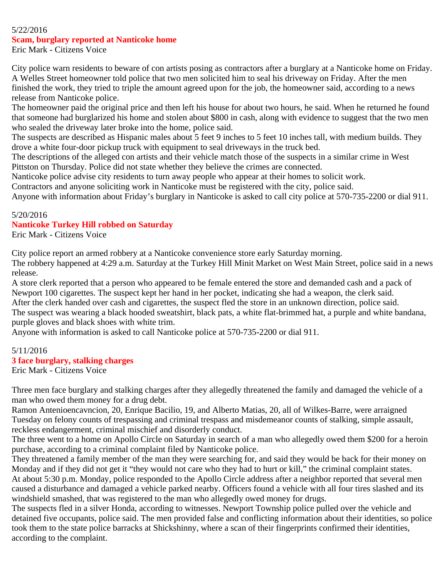#### 5/22/2016

#### **Scam, burglary reported at Nanticoke home**

Eric Mark - Citizens Voice

City police warn residents to beware of con artists posing as contractors after a burglary at a Nanticoke home on Friday. A Welles Street homeowner told police that two men solicited him to seal his driveway on Friday. After the men finished the work, they tried to triple the amount agreed upon for the job, the homeowner said, according to a news release from Nanticoke police.

The homeowner paid the original price and then left his house for about two hours, he said. When he returned he found that someone had burglarized his home and stolen about \$800 in cash, along with evidence to suggest that the two men who sealed the driveway later broke into the home, police said.

The suspects are described as Hispanic males about 5 feet 9 inches to 5 feet 10 inches tall, with medium builds. They drove a white four-door pickup truck with equipment to seal driveways in the truck bed.

The descriptions of the alleged con artists and their vehicle match those of the suspects in a similar crime in West Pittston on Thursday. Police did not state whether they believe the crimes are connected.

Nanticoke police advise city residents to turn away people who appear at their homes to solicit work.

Contractors and anyone soliciting work in Nanticoke must be registered with the city, police said.

Anyone with information about Friday's burglary in Nanticoke is asked to call city police at 570-735-2200 or dial 911.

#### 5/20/2016

#### **Nanticoke Turkey Hill robbed on Saturday**

Eric Mark - Citizens Voice

City police report an armed robbery at a Nanticoke convenience store early Saturday morning.

The robbery happened at 4:29 a.m. Saturday at the Turkey Hill Minit Market on West Main Street, police said in a news release.

A store clerk reported that a person who appeared to be female entered the store and demanded cash and a pack of Newport 100 cigarettes. The suspect kept her hand in her pocket, indicating she had a weapon, the clerk said.

After the clerk handed over cash and cigarettes, the suspect fled the store in an unknown direction, police said. The suspect was wearing a black hooded sweatshirt, black pats, a white flat-brimmed hat, a purple and white bandana, purple gloves and black shoes with white trim.

Anyone with information is asked to call Nanticoke police at 570-735-2200 or dial 911.

# 5/11/2016 **3 face burglary, stalking charges**

Eric Mark - Citizens Voice

Three men face burglary and stalking charges after they allegedly threatened the family and damaged the vehicle of a man who owed them money for a drug debt.

Ramon Antenioencavncion, 20, Enrique Bacilio, 19, and Alberto Matias, 20, all of Wilkes-Barre, were arraigned Tuesday on felony counts of trespassing and criminal trespass and misdemeanor counts of stalking, simple assault, reckless endangerment, criminal mischief and disorderly conduct.

The three went to a home on Apollo Circle on Saturday in search of a man who allegedly owed them \$200 for a heroin purchase, according to a criminal complaint filed by Nanticoke police.

They threatened a family member of the man they were searching for, and said they would be back for their money on Monday and if they did not get it "they would not care who they had to hurt or kill," the criminal complaint states. At about 5:30 p.m. Monday, police responded to the Apollo Circle address after a neighbor reported that several men caused a disturbance and damaged a vehicle parked nearby. Officers found a vehicle with all four tires slashed and its windshield smashed, that was registered to the man who allegedly owed money for drugs.

The suspects fled in a silver Honda, according to witnesses. Newport Township police pulled over the vehicle and detained five occupants, police said. The men provided false and conflicting information about their identities, so police took them to the state police barracks at Shickshinny, where a scan of their fingerprints confirmed their identities, according to the complaint.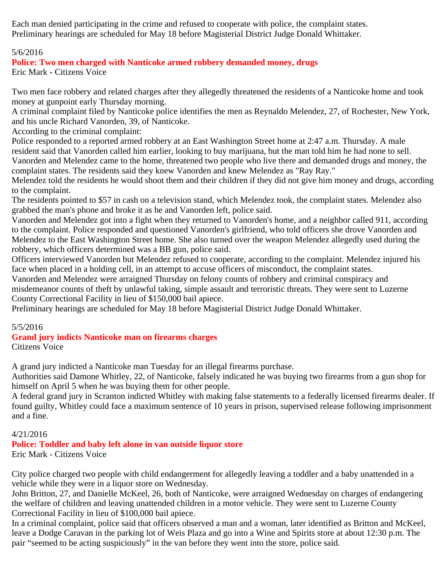Each man denied participating in the crime and refused to cooperate with police, the complaint states. Preliminary hearings are scheduled for May 18 before Magisterial District Judge Donald Whittaker.

## 5/6/2016

# **Police: Two men charged with Nanticoke armed robbery demanded money, drugs**

Eric Mark - Citizens Voice

Two men face robbery and related charges after they allegedly threatened the residents of a Nanticoke home and took money at gunpoint early Thursday morning.

A criminal complaint filed by Nanticoke police identifies the men as Reynaldo Melendez, 27, of Rochester, New York, and his uncle Richard Vanorden, 39, of Nanticoke.

According to the criminal complaint:

Police responded to a reported armed robbery at an East Washington Street home at 2:47 a.m. Thursday. A male resident said that Vanorden called him earlier, looking to buy marijuana, but the man told him he had none to sell. Vanorden and Melendez came to the home, threatened two people who live there and demanded drugs and money, the complaint states. The residents said they knew Vanorden and knew Melendez as "Ray Ray."

Melendez told the residents he would shoot them and their children if they did not give him money and drugs, according to the complaint.

The residents pointed to \$57 in cash on a television stand, which Melendez took, the complaint states. Melendez also grabbed the man's phone and broke it as he and Vanorden left, police said.

Vanorden and Melendez got into a fight when they returned to Vanorden's home, and a neighbor called 911, according to the complaint. Police responded and questioned Vanorden's girlfriend, who told officers she drove Vanorden and Melendez to the East Washington Street home. She also turned over the weapon Melendez allegedly used during the robbery, which officers determined was a BB gun, police said.

Officers interviewed Vanorden but Melendez refused to cooperate, according to the complaint. Melendez injured his face when placed in a holding cell, in an attempt to accuse officers of misconduct, the complaint states.

Vanorden and Melendez were arraigned Thursday on felony counts of robbery and criminal conspiracy and misdemeanor counts of theft by unlawful taking, simple assault and terroristic threats. They were sent to Luzerne County Correctional Facility in lieu of \$150,000 bail apiece.

Preliminary hearings are scheduled for May 18 before Magisterial District Judge Donald Whittaker.

### 5/5/2016

# **Grand jury indicts Nanticoke man on firearms charges**

Citizens Voice

A grand jury indicted a Nanticoke man Tuesday for an illegal firearms purchase.

Authorities said Damone Whitley, 22, of Nanticoke, falsely indicated he was buying two firearms from a gun shop for himself on April 5 when he was buying them for other people.

A federal grand jury in Scranton indicted Whitley with making false statements to a federally licensed firearms dealer. If found guilty, Whitley could face a maximum sentence of 10 years in prison, supervised release following imprisonment and a fine.

### 4/21/2016

# **Police: Toddler and baby left alone in van outside liquor store**

Eric Mark - Citizens Voice

City police charged two people with child endangerment for allegedly leaving a toddler and a baby unattended in a vehicle while they were in a liquor store on Wednesday.

John Britton, 27, and Danielle McKeel, 26, both of Nanticoke, were arraigned Wednesday on charges of endangering the welfare of children and leaving unattended children in a motor vehicle. They were sent to Luzerne County Correctional Facility in lieu of \$100,000 bail apiece.

In a criminal complaint, police said that officers observed a man and a woman, later identified as Britton and McKeel, leave a Dodge Caravan in the parking lot of Weis Plaza and go into a Wine and Spirits store at about 12:30 p.m. The pair "seemed to be acting suspiciously" in the van before they went into the store, police said.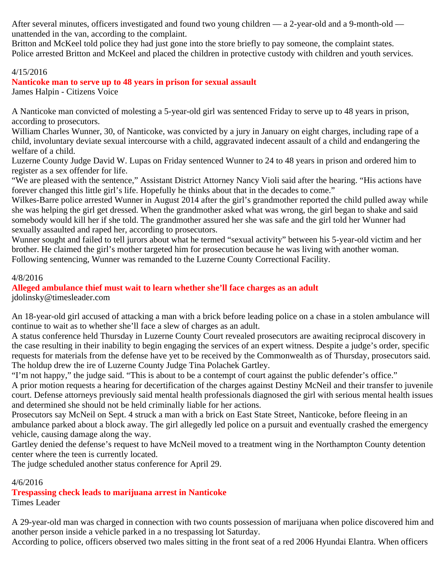After several minutes, officers investigated and found two young children — a 2-year-old and a 9-month-old unattended in the van, according to the complaint.

Britton and McKeel told police they had just gone into the store briefly to pay someone, the complaint states. Police arrested Britton and McKeel and placed the children in protective custody with children and youth services.

## 4/15/2016

**Nanticoke man to serve up to 48 years in prison for sexual assault**

James Halpin - Citizens Voice

A Nanticoke man convicted of molesting a 5-year-old girl was sentenced Friday to serve up to 48 years in prison, according to prosecutors.

William Charles Wunner, 30, of Nanticoke, was convicted by a jury in January on eight charges, including rape of a child, involuntary deviate sexual intercourse with a child, aggravated indecent assault of a child and endangering the welfare of a child.

Luzerne County Judge David W. Lupas on Friday sentenced Wunner to 24 to 48 years in prison and ordered him to register as a sex offender for life.

"We are pleased with the sentence," Assistant District Attorney Nancy Violi said after the hearing. "His actions have forever changed this little girl's life. Hopefully he thinks about that in the decades to come."

Wilkes-Barre police arrested Wunner in August 2014 after the girl's grandmother reported the child pulled away while she was helping the girl get dressed. When the grandmother asked what was wrong, the girl began to shake and said somebody would kill her if she told. The grandmother assured her she was safe and the girl told her Wunner had sexually assaulted and raped her, according to prosecutors.

Wunner sought and failed to tell jurors about what he termed "sexual activity" between his 5-year-old victim and her brother. He claimed the girl's mother targeted him for prosecution because he was living with another woman. Following sentencing, Wunner was remanded to the Luzerne County Correctional Facility.

### 4/8/2016

#### **Alleged ambulance thief must wait to learn whether she'll face charges as an adult** jdolinsky@timesleader.com

An 18-year-old girl accused of attacking a man with a brick before leading police on a chase in a stolen ambulance will continue to wait as to whether she'll face a slew of charges as an adult.

A status conference held Thursday in Luzerne County Court revealed prosecutors are awaiting reciprocal discovery in the case resulting in their inability to begin engaging the services of an expert witness. Despite a judge's order, specific requests for materials from the defense have yet to be received by the Commonwealth as of Thursday, prosecutors said. The holdup drew the ire of Luzerne County Judge Tina Polachek Gartley.

"I'm not happy," the judge said. "This is about to be a contempt of court against the public defender's office."

A prior motion requests a hearing for decertification of the charges against Destiny McNeil and their transfer to juvenile court. Defense attorneys previously said mental health professionals diagnosed the girl with serious mental health issues and determined she should not be held criminally liable for her actions.

Prosecutors say McNeil on Sept. 4 struck a man with a brick on East State Street, Nanticoke, before fleeing in an ambulance parked about a block away. The girl allegedly led police on a pursuit and eventually crashed the emergency vehicle, causing damage along the way.

Gartley denied the defense's request to have McNeil moved to a treatment wing in the Northampton County detention center where the teen is currently located.

The judge scheduled another status conference for April 29.

# 4/6/2016

#### **Trespassing check leads to marijuana arrest in Nanticoke** Times Leader

A 29-year-old man was charged in connection with two counts possession of marijuana when police discovered him and another person inside a vehicle parked in a no trespassing lot Saturday.

According to police, officers observed two males sitting in the front seat of a red 2006 Hyundai Elantra. When officers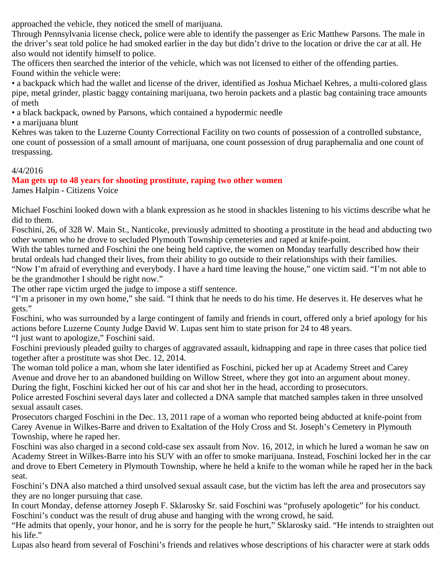approached the vehicle, they noticed the smell of marijuana.

Through Pennsylvania license check, police were able to identify the passenger as Eric Matthew Parsons. The male in the driver's seat told police he had smoked earlier in the day but didn't drive to the location or drive the car at all. He also would not identify himself to police.

The officers then searched the interior of the vehicle, which was not licensed to either of the offending parties. Found within the vehicle were:

• a backpack which had the wallet and license of the driver, identified as Joshua Michael Kehres, a multi-colored glass pipe, metal grinder, plastic baggy containing marijuana, two heroin packets and a plastic bag containing trace amounts of meth

• a black backpack, owned by Parsons, which contained a hypodermic needle

• a marijuana blunt

Kehres was taken to the Luzerne County Correctional Facility on two counts of possession of a controlled substance, one count of possession of a small amount of marijuana, one count possession of drug paraphernalia and one count of trespassing.

# 4/4/2016

# **Man gets up to 48 years for shooting prostitute, raping two other women**

James Halpin - Citizens Voice

Michael Foschini looked down with a blank expression as he stood in shackles listening to his victims describe what he did to them.

Foschini, 26, of 328 W. Main St., Nanticoke, previously admitted to shooting a prostitute in the head and abducting two other women who he drove to secluded Plymouth Township cemeteries and raped at knife-point.

With the tables turned and Foschini the one being held captive, the women on Monday tearfully described how their brutal ordeals had changed their lives, from their ability to go outside to their relationships with their families.

"Now I'm afraid of everything and everybody. I have a hard time leaving the house," one victim said. "I'm not able to be the grandmother I should be right now."

The other rape victim urged the judge to impose a stiff sentence.

"I'm a prisoner in my own home," she said. "I think that he needs to do his time. He deserves it. He deserves what he gets."

Foschini, who was surrounded by a large contingent of family and friends in court, offered only a brief apology for his actions before Luzerne County Judge David W. Lupas sent him to state prison for 24 to 48 years. "I just want to apologize," Foschini said.

Foschini previously pleaded guilty to charges of aggravated assault, kidnapping and rape in three cases that police tied together after a prostitute was shot Dec. 12, 2014.

The woman told police a man, whom she later identified as Foschini, picked her up at Academy Street and Carey Avenue and drove her to an abandoned building on Willow Street, where they got into an argument about money. During the fight, Foschini kicked her out of his car and shot her in the head, according to prosecutors.

Police arrested Foschini several days later and collected a DNA sample that matched samples taken in three unsolved sexual assault cases.

Prosecutors charged Foschini in the Dec. 13, 2011 rape of a woman who reported being abducted at knife-point from Carey Avenue in Wilkes-Barre and driven to Exaltation of the Holy Cross and St. Joseph's Cemetery in Plymouth Township, where he raped her.

Foschini was also charged in a second cold-case sex assault from Nov. 16, 2012, in which he lured a woman he saw on Academy Street in Wilkes-Barre into his SUV with an offer to smoke marijuana. Instead, Foschini locked her in the car and drove to Ebert Cemetery in Plymouth Township, where he held a knife to the woman while he raped her in the back seat.

Foschini's DNA also matched a third unsolved sexual assault case, but the victim has left the area and prosecutors say they are no longer pursuing that case.

In court Monday, defense attorney Joseph F. Sklarosky Sr. said Foschini was "profusely apologetic" for his conduct. Foschini's conduct was the result of drug abuse and hanging with the wrong crowd, he said.

"He admits that openly, your honor, and he is sorry for the people he hurt," Sklarosky said. "He intends to straighten out his life."

Lupas also heard from several of Foschini's friends and relatives whose descriptions of his character were at stark odds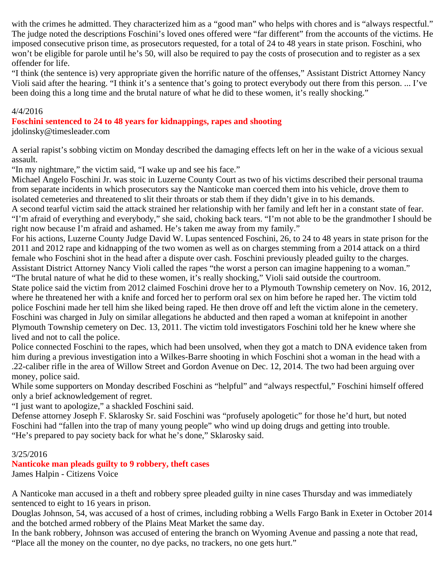with the crimes he admitted. They characterized him as a "good man" who helps with chores and is "always respectful." The judge noted the descriptions Foschini's loved ones offered were "far different" from the accounts of the victims. He imposed consecutive prison time, as prosecutors requested, for a total of 24 to 48 years in state prison. Foschini, who won't be eligible for parole until he's 50, will also be required to pay the costs of prosecution and to register as a sex offender for life.

"I think (the sentence is) very appropriate given the horrific nature of the offenses," Assistant District Attorney Nancy Violi said after the hearing. "I think it's a sentence that's going to protect everybody out there from this person. ... I've been doing this a long time and the brutal nature of what he did to these women, it's really shocking."

#### 4/4/2016

**Foschini sentenced to 24 to 48 years for kidnappings, rapes and shooting**

jdolinsky@timesleader.com

A serial rapist's sobbing victim on Monday described the damaging effects left on her in the wake of a vicious sexual assault.

"In my nightmare," the victim said, "I wake up and see his face."

Michael Angelo Foschini Jr. was stoic in Luzerne County Court as two of his victims described their personal trauma from separate incidents in which prosecutors say the Nanticoke man coerced them into his vehicle, drove them to isolated cemeteries and threatened to slit their throats or stab them if they didn't give in to his demands.

A second tearful victim said the attack strained her relationship with her family and left her in a constant state of fear. "I'm afraid of everything and everybody," she said, choking back tears. "I'm not able to be the grandmother I should be right now because I'm afraid and ashamed. He's taken me away from my family."

For his actions, Luzerne County Judge David W. Lupas sentenced Foschini, 26, to 24 to 48 years in state prison for the 2011 and 2012 rape and kidnapping of the two women as well as on charges stemming from a 2014 attack on a third female who Foschini shot in the head after a dispute over cash. Foschini previously pleaded guilty to the charges. Assistant District Attorney Nancy Violi called the rapes "the worst a person can imagine happening to a woman." "The brutal nature of what he did to these women, it's really shocking," Violi said outside the courtroom.

State police said the victim from 2012 claimed Foschini drove her to a Plymouth Township cemetery on Nov. 16, 2012, where he threatened her with a knife and forced her to perform oral sex on him before he raped her. The victim told police Foschini made her tell him she liked being raped. He then drove off and left the victim alone in the cemetery. Foschini was charged in July on similar allegations he abducted and then raped a woman at knifepoint in another Plymouth Township cemetery on Dec. 13, 2011. The victim told investigators Foschini told her he knew where she lived and not to call the police.

Police connected Foschini to the rapes, which had been unsolved, when they got a match to DNA evidence taken from him during a previous investigation into a Wilkes-Barre shooting in which Foschini shot a woman in the head with a .22-caliber rifle in the area of Willow Street and Gordon Avenue on Dec. 12, 2014. The two had been arguing over money, police said.

While some supporters on Monday described Foschini as "helpful" and "always respectful," Foschini himself offered only a brief acknowledgement of regret.

"I just want to apologize," a shackled Foschini said.

Defense attorney Joseph F. Sklarosky Sr. said Foschini was "profusely apologetic" for those he'd hurt, but noted Foschini had "fallen into the trap of many young people" who wind up doing drugs and getting into trouble. "He's prepared to pay society back for what he's done," Sklarosky said.

#### 3/25/2016

**Nanticoke man pleads guilty to 9 robbery, theft cases**

James Halpin - Citizens Voice

A Nanticoke man accused in a theft and robbery spree pleaded guilty in nine cases Thursday and was immediately sentenced to eight to 16 years in prison.

Douglas Johnson, 54, was accused of a host of crimes, including robbing a Wells Fargo Bank in Exeter in October 2014 and the botched armed robbery of the Plains Meat Market the same day.

In the bank robbery, Johnson was accused of entering the branch on Wyoming Avenue and passing a note that read, "Place all the money on the counter, no dye packs, no trackers, no one gets hurt."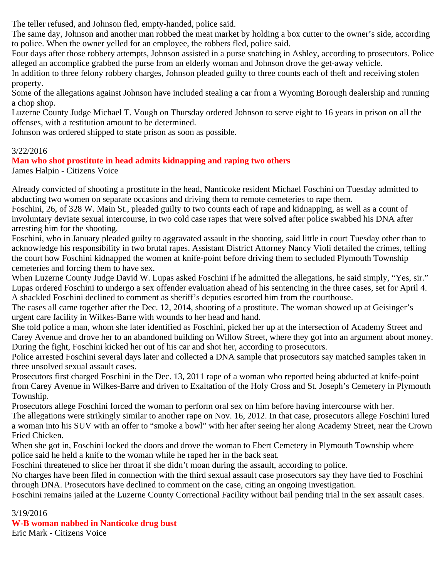The teller refused, and Johnson fled, empty-handed, police said.

The same day, Johnson and another man robbed the meat market by holding a box cutter to the owner's side, according to police. When the owner yelled for an employee, the robbers fled, police said.

Four days after those robbery attempts, Johnson assisted in a purse snatching in Ashley, according to prosecutors. Police alleged an accomplice grabbed the purse from an elderly woman and Johnson drove the get-away vehicle.

In addition to three felony robbery charges, Johnson pleaded guilty to three counts each of theft and receiving stolen property.

Some of the allegations against Johnson have included stealing a car from a Wyoming Borough dealership and running a chop shop.

Luzerne County Judge Michael T. Vough on Thursday ordered Johnson to serve eight to 16 years in prison on all the offenses, with a restitution amount to be determined.

Johnson was ordered shipped to state prison as soon as possible.

## 3/22/2016

# **Man who shot prostitute in head admits kidnapping and raping two others**

James Halpin - Citizens Voice

Already convicted of shooting a prostitute in the head, Nanticoke resident Michael Foschini on Tuesday admitted to abducting two women on separate occasions and driving them to remote cemeteries to rape them.

Foschini, 26, of 328 W. Main St., pleaded guilty to two counts each of rape and kidnapping, as well as a count of involuntary deviate sexual intercourse, in two cold case rapes that were solved after police swabbed his DNA after arresting him for the shooting.

Foschini, who in January pleaded guilty to aggravated assault in the shooting, said little in court Tuesday other than to acknowledge his responsibility in two brutal rapes. Assistant District Attorney Nancy Violi detailed the crimes, telling the court how Foschini kidnapped the women at knife-point before driving them to secluded Plymouth Township cemeteries and forcing them to have sex.

When Luzerne County Judge David W. Lupas asked Foschini if he admitted the allegations, he said simply, "Yes, sir." Lupas ordered Foschini to undergo a sex offender evaluation ahead of his sentencing in the three cases, set for April 4. A shackled Foschini declined to comment as sheriff's deputies escorted him from the courthouse.

The cases all came together after the Dec. 12, 2014, shooting of a prostitute. The woman showed up at Geisinger's urgent care facility in Wilkes-Barre with wounds to her head and hand.

She told police a man, whom she later identified as Foschini, picked her up at the intersection of Academy Street and Carey Avenue and drove her to an abandoned building on Willow Street, where they got into an argument about money. During the fight, Foschini kicked her out of his car and shot her, according to prosecutors.

Police arrested Foschini several days later and collected a DNA sample that prosecutors say matched samples taken in three unsolved sexual assault cases.

Prosecutors first charged Foschini in the Dec. 13, 2011 rape of a woman who reported being abducted at knife-point from Carey Avenue in Wilkes-Barre and driven to Exaltation of the Holy Cross and St. Joseph's Cemetery in Plymouth Township.

Prosecutors allege Foschini forced the woman to perform oral sex on him before having intercourse with her. The allegations were strikingly similar to another rape on Nov. 16, 2012. In that case, prosecutors allege Foschini lured a woman into his SUV with an offer to "smoke a bowl" with her after seeing her along Academy Street, near the Crown Fried Chicken.

When she got in, Foschini locked the doors and drove the woman to Ebert Cemetery in Plymouth Township where police said he held a knife to the woman while he raped her in the back seat.

Foschini threatened to slice her throat if she didn't moan during the assault, according to police.

No charges have been filed in connection with the third sexual assault case prosecutors say they have tied to Foschini through DNA. Prosecutors have declined to comment on the case, citing an ongoing investigation.

Foschini remains jailed at the Luzerne County Correctional Facility without bail pending trial in the sex assault cases.

3/19/2016

**W-B woman nabbed in Nanticoke drug bust**

Eric Mark - Citizens Voice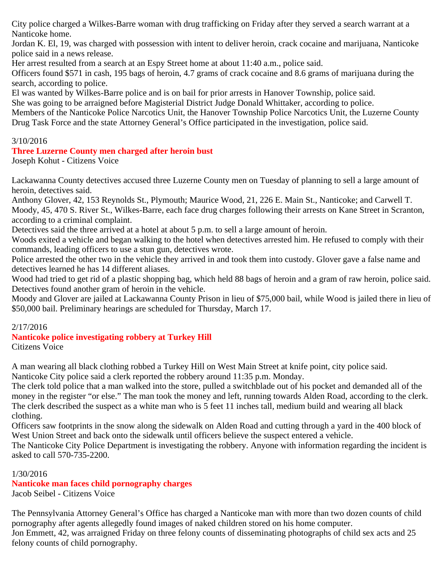City police charged a Wilkes-Barre woman with drug trafficking on Friday after they served a search warrant at a Nanticoke home.

Jordan K. El, 19, was charged with possession with intent to deliver heroin, crack cocaine and marijuana, Nanticoke police said in a news release.

Her arrest resulted from a search at an Espy Street home at about 11:40 a.m., police said.

Officers found \$571 in cash, 195 bags of heroin, 4.7 grams of crack cocaine and 8.6 grams of marijuana during the search, according to police.

El was wanted by Wilkes-Barre police and is on bail for prior arrests in Hanover Township, police said.

She was going to be arraigned before Magisterial District Judge Donald Whittaker, according to police.

Members of the Nanticoke Police Narcotics Unit, the Hanover Township Police Narcotics Unit, the Luzerne County Drug Task Force and the state Attorney General's Office participated in the investigation, police said.

## 3/10/2016

# **Three Luzerne County men charged after heroin bust**

Joseph Kohut - Citizens Voice

Lackawanna County detectives accused three Luzerne County men on Tuesday of planning to sell a large amount of heroin, detectives said.

Anthony Glover, 42, 153 Reynolds St., Plymouth; Maurice Wood, 21, 226 E. Main St., Nanticoke; and Carwell T. Moody, 45, 470 S. River St., Wilkes-Barre, each face drug charges following their arrests on Kane Street in Scranton, according to a criminal complaint.

Detectives said the three arrived at a hotel at about 5 p.m. to sell a large amount of heroin.

Woods exited a vehicle and began walking to the hotel when detectives arrested him. He refused to comply with their commands, leading officers to use a stun gun, detectives wrote.

Police arrested the other two in the vehicle they arrived in and took them into custody. Glover gave a false name and detectives learned he has 14 different aliases.

Wood had tried to get rid of a plastic shopping bag, which held 88 bags of heroin and a gram of raw heroin, police said. Detectives found another gram of heroin in the vehicle.

Moody and Glover are jailed at Lackawanna County Prison in lieu of \$75,000 bail, while Wood is jailed there in lieu of \$50,000 bail. Preliminary hearings are scheduled for Thursday, March 17.

### 2/17/2016

# **Nanticoke police investigating robbery at Turkey Hill**

Citizens Voice

A man wearing all black clothing robbed a Turkey Hill on West Main Street at knife point, city police said. Nanticoke City police said a clerk reported the robbery around 11:35 p.m. Monday.

The clerk told police that a man walked into the store, pulled a switchblade out of his pocket and demanded all of the money in the register "or else." The man took the money and left, running towards Alden Road, according to the clerk. The clerk described the suspect as a white man who is 5 feet 11 inches tall, medium build and wearing all black clothing.

Officers saw footprints in the snow along the sidewalk on Alden Road and cutting through a yard in the 400 block of West Union Street and back onto the sidewalk until officers believe the suspect entered a vehicle.

The Nanticoke City Police Department is investigating the robbery. Anyone with information regarding the incident is asked to call 570-735-2200.

### 1/30/2016

#### **Nanticoke man faces child pornography charges** Jacob Seibel - Citizens Voice

The Pennsylvania Attorney General's Office has charged a Nanticoke man with more than two dozen counts of child pornography after agents allegedly found images of naked children stored on his home computer. Jon Emmett, 42, was arraigned Friday on three felony counts of disseminating photographs of child sex acts and 25 felony counts of child pornography.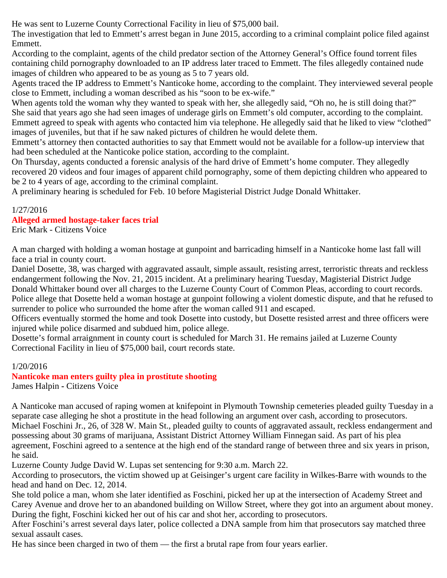He was sent to Luzerne County Correctional Facility in lieu of \$75,000 bail.

The investigation that led to Emmett's arrest began in June 2015, according to a criminal complaint police filed against Emmett.

According to the complaint, agents of the child predator section of the Attorney General's Office found torrent files containing child pornography downloaded to an IP address later traced to Emmett. The files allegedly contained nude images of children who appeared to be as young as 5 to 7 years old.

Agents traced the IP address to Emmett's Nanticoke home, according to the complaint. They interviewed several people close to Emmett, including a woman described as his "soon to be ex-wife."

When agents told the woman why they wanted to speak with her, she allegedly said, "Oh no, he is still doing that?" She said that years ago she had seen images of underage girls on Emmett's old computer, according to the complaint. Emmett agreed to speak with agents who contacted him via telephone. He allegedly said that he liked to view "clothed" images of juveniles, but that if he saw naked pictures of children he would delete them.

Emmett's attorney then contacted authorities to say that Emmett would not be available for a follow-up interview that had been scheduled at the Nanticoke police station, according to the complaint.

On Thursday, agents conducted a forensic analysis of the hard drive of Emmett's home computer. They allegedly recovered 20 videos and four images of apparent child pornography, some of them depicting children who appeared to be 2 to 4 years of age, according to the criminal complaint.

A preliminary hearing is scheduled for Feb. 10 before Magisterial District Judge Donald Whittaker.

# 1/27/2016

# **Alleged armed hostage-taker faces trial**

Eric Mark - Citizens Voice

A man charged with holding a woman hostage at gunpoint and barricading himself in a Nanticoke home last fall will face a trial in county court.

Daniel Dosette, 38, was charged with aggravated assault, simple assault, resisting arrest, terroristic threats and reckless endangerment following the Nov. 21, 2015 incident. At a preliminary hearing Tuesday, Magisterial District Judge Donald Whittaker bound over all charges to the Luzerne County Court of Common Pleas, according to court records. Police allege that Dosette held a woman hostage at gunpoint following a violent domestic dispute, and that he refused to surrender to police who surrounded the home after the woman called 911 and escaped.

Officers eventually stormed the home and took Dosette into custody, but Dosette resisted arrest and three officers were injured while police disarmed and subdued him, police allege.

Dosette's formal arraignment in county court is scheduled for March 31. He remains jailed at Luzerne County Correctional Facility in lieu of \$75,000 bail, court records state.

# 1/20/2016

**Nanticoke man enters guilty plea in prostitute shooting** James Halpin **-** Citizens Voice

A Nanticoke man accused of raping women at knifepoint in Plymouth Township cemeteries pleaded guilty Tuesday in a separate case alleging he shot a prostitute in the head following an argument over cash, according to prosecutors. Michael Foschini Jr., 26, of 328 W. Main St., pleaded guilty to counts of aggravated assault, reckless endangerment and possessing about 30 grams of marijuana, Assistant District Attorney William Finnegan said. As part of his plea agreement, Foschini agreed to a sentence at the high end of the standard range of between three and six years in prison, he said.

Luzerne County Judge David W. Lupas set sentencing for 9:30 a.m. March 22.

According to prosecutors, the victim showed up at Geisinger's urgent care facility in Wilkes-Barre with wounds to the head and hand on Dec. 12, 2014.

She told police a man, whom she later identified as Foschini, picked her up at the intersection of Academy Street and Carey Avenue and drove her to an abandoned building on Willow Street, where they got into an argument about money. During the fight, Foschini kicked her out of his car and shot her, according to prosecutors.

After Foschini's arrest several days later, police collected a DNA sample from him that prosecutors say matched three sexual assault cases.

He has since been charged in two of them — the first a brutal rape from four years earlier.